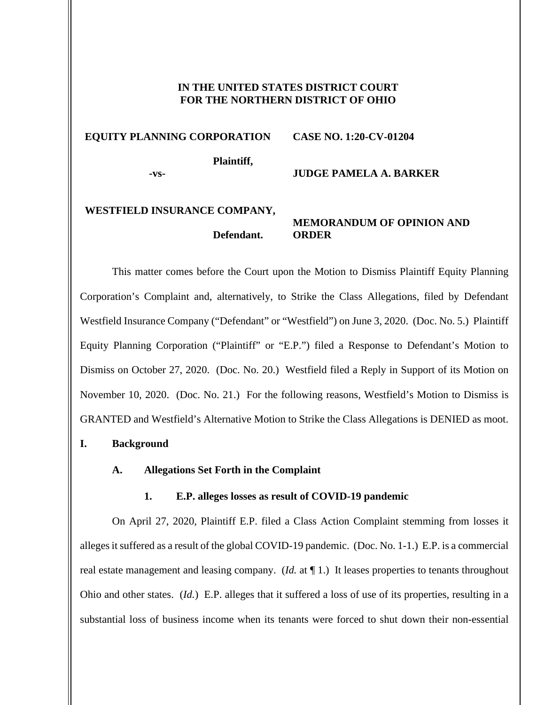# **IN THE UNITED STATES DISTRICT COURT FOR THE NORTHERN DISTRICT OF OHIO**

#### **EQUITY PLANNING CORPORATION CASE NO. 1:20-CV-01204**

**Plaintiff,** 

**-vs-**

# **JUDGE PAMELA A. BARKER**

# **WESTFIELD INSURANCE COMPANY, Defendant.**

# **MEMORANDUM OF OPINION AND ORDER**

This matter comes before the Court upon the Motion to Dismiss Plaintiff Equity Planning Corporation's Complaint and, alternatively, to Strike the Class Allegations, filed by Defendant Westfield Insurance Company ("Defendant" or "Westfield") on June 3, 2020. (Doc. No. 5.) Plaintiff Equity Planning Corporation ("Plaintiff" or "E.P.") filed a Response to Defendant's Motion to Dismiss on October 27, 2020. (Doc. No. 20.) Westfield filed a Reply in Support of its Motion on November 10, 2020. (Doc. No. 21.) For the following reasons, Westfield's Motion to Dismiss is GRANTED and Westfield's Alternative Motion to Strike the Class Allegations is DENIED as moot.

# **I. Background**

# **A. Allegations Set Forth in the Complaint**

# **1. E.P. alleges losses as result of COVID-19 pandemic**

On April 27, 2020, Plaintiff E.P. filed a Class Action Complaint stemming from losses it alleges it suffered as a result of the global COVID-19 pandemic. (Doc. No. 1-1.) E.P. is a commercial real estate management and leasing company. (*Id.* at ¶ 1.) It leases properties to tenants throughout Ohio and other states. (*Id.*) E.P. alleges that it suffered a loss of use of its properties, resulting in a substantial loss of business income when its tenants were forced to shut down their non-essential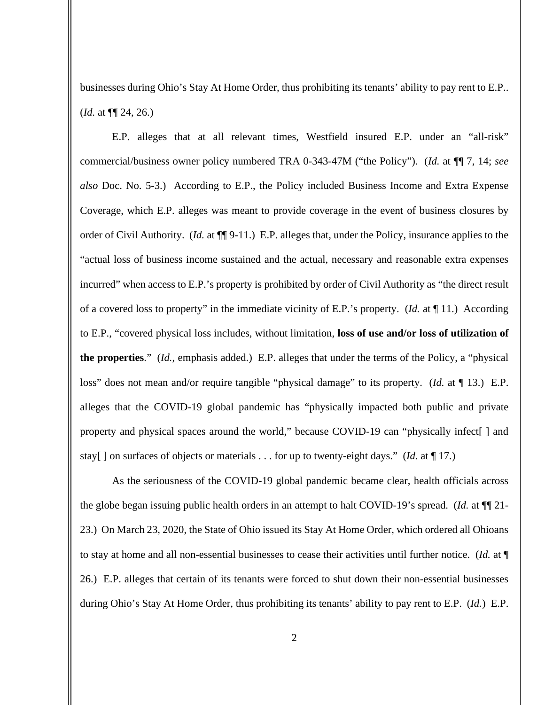businesses during Ohio's Stay At Home Order, thus prohibiting its tenants' ability to pay rent to E.P.. (*Id.* at ¶¶ 24, 26.)

E.P. alleges that at all relevant times, Westfield insured E.P. under an "all-risk" commercial/business owner policy numbered TRA 0-343-47M ("the Policy"). (*Id.* at ¶¶ 7, 14; *see also* Doc. No. 5-3.) According to E.P., the Policy included Business Income and Extra Expense Coverage, which E.P. alleges was meant to provide coverage in the event of business closures by order of Civil Authority. (*Id.* at ¶¶ 9-11.) E.P. alleges that, under the Policy, insurance applies to the "actual loss of business income sustained and the actual, necessary and reasonable extra expenses incurred" when access to E.P.'s property is prohibited by order of Civil Authority as "the direct result of a covered loss to property" in the immediate vicinity of E.P.'s property. (*Id.* at ¶ 11.) According to E.P., "covered physical loss includes, without limitation, **loss of use and/or loss of utilization of the properties**." (*Id.*, emphasis added.) E.P. alleges that under the terms of the Policy, a "physical loss" does not mean and/or require tangible "physical damage" to its property. (*Id.* at ¶ 13.) E.P. alleges that the COVID-19 global pandemic has "physically impacted both public and private property and physical spaces around the world," because COVID-19 can "physically infect[ ] and stay[ ] on surfaces of objects or materials . . . for up to twenty-eight days." (*Id.* at ¶ 17.)

As the seriousness of the COVID-19 global pandemic became clear, health officials across the globe began issuing public health orders in an attempt to halt COVID-19's spread. (*Id.* at ¶¶ 21- 23.) On March 23, 2020, the State of Ohio issued its Stay At Home Order, which ordered all Ohioans to stay at home and all non-essential businesses to cease their activities until further notice. (*Id.* at ¶ 26.) E.P. alleges that certain of its tenants were forced to shut down their non-essential businesses during Ohio's Stay At Home Order, thus prohibiting its tenants' ability to pay rent to E.P. (*Id.*) E.P.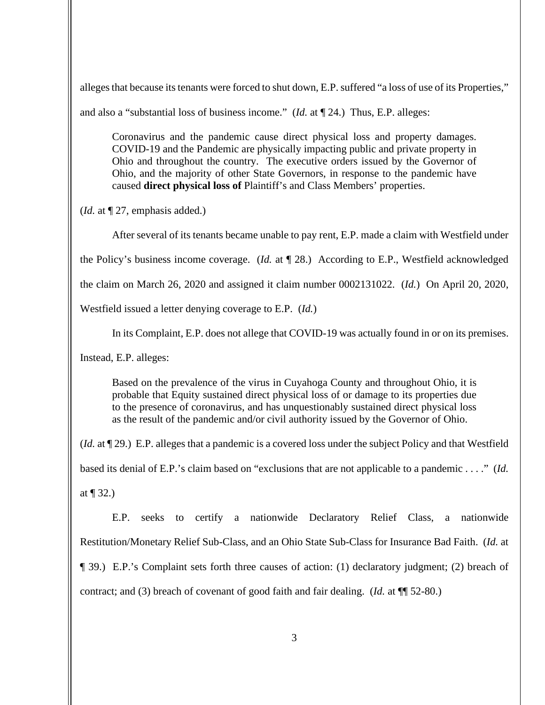alleges that because its tenants were forced to shut down, E.P. suffered "a loss of use of its Properties,"

and also a "substantial loss of business income." (*Id.* at ¶ 24.) Thus, E.P. alleges:

Coronavirus and the pandemic cause direct physical loss and property damages. COVID-19 and the Pandemic are physically impacting public and private property in Ohio and throughout the country. The executive orders issued by the Governor of Ohio, and the majority of other State Governors, in response to the pandemic have caused **direct physical loss of** Plaintiff's and Class Members' properties.

(*Id.* at ¶ 27, emphasis added.)

After several of its tenants became unable to pay rent, E.P. made a claim with Westfield under the Policy's business income coverage. (*Id.* at ¶ 28.) According to E.P., Westfield acknowledged the claim on March 26, 2020 and assigned it claim number 0002131022. (*Id.*) On April 20, 2020, Westfield issued a letter denying coverage to E.P. (*Id.*)

In its Complaint, E.P. does not allege that COVID-19 was actually found in or on its premises.

Instead, E.P. alleges:

Based on the prevalence of the virus in Cuyahoga County and throughout Ohio, it is probable that Equity sustained direct physical loss of or damage to its properties due to the presence of coronavirus, and has unquestionably sustained direct physical loss as the result of the pandemic and/or civil authority issued by the Governor of Ohio.

(*Id.* at ¶ 29.) E.P. alleges that a pandemic is a covered loss under the subject Policy and that Westfield

based its denial of E.P.'s claim based on "exclusions that are not applicable to a pandemic . . . ." (*Id.*

at  $\P$  32.)

E.P. seeks to certify a nationwide Declaratory Relief Class, a nationwide Restitution/Monetary Relief Sub-Class, and an Ohio State Sub-Class for Insurance Bad Faith. (*Id.* at ¶ 39.) E.P.'s Complaint sets forth three causes of action: (1) declaratory judgment; (2) breach of contract; and (3) breach of covenant of good faith and fair dealing. (*Id.* at ¶¶ 52-80.)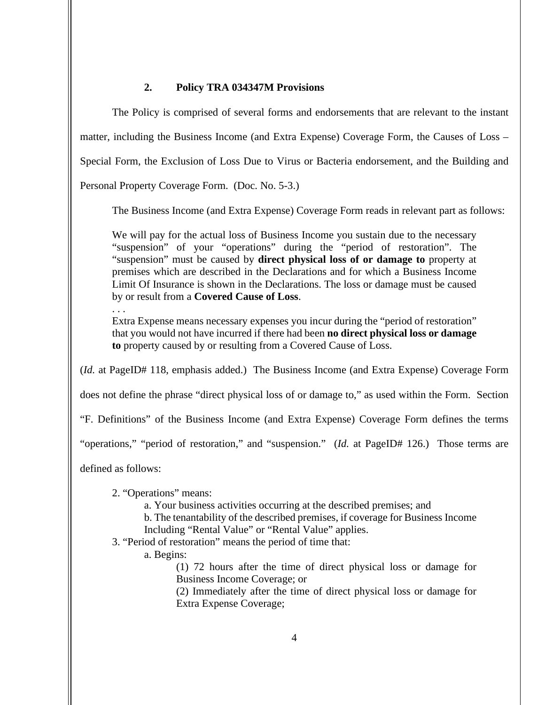# **2. Policy TRA 034347M Provisions**

The Policy is comprised of several forms and endorsements that are relevant to the instant matter, including the Business Income (and Extra Expense) Coverage Form, the Causes of Loss – Special Form, the Exclusion of Loss Due to Virus or Bacteria endorsement, and the Building and Personal Property Coverage Form. (Doc. No. 5-3.)

The Business Income (and Extra Expense) Coverage Form reads in relevant part as follows:

We will pay for the actual loss of Business Income you sustain due to the necessary "suspension" of your "operations" during the "period of restoration". The "suspension" must be caused by **direct physical loss of or damage to** property at premises which are described in the Declarations and for which a Business Income Limit Of Insurance is shown in the Declarations. The loss or damage must be caused by or result from a **Covered Cause of Loss**.

. . . Extra Expense means necessary expenses you incur during the "period of restoration" that you would not have incurred if there had been **no direct physical loss or damage to** property caused by or resulting from a Covered Cause of Loss.

(*Id.* at PageID# 118, emphasis added.) The Business Income (and Extra Expense) Coverage Form

does not define the phrase "direct physical loss of or damage to," as used within the Form. Section

"F. Definitions" of the Business Income (and Extra Expense) Coverage Form defines the terms

"operations," "period of restoration," and "suspension." (*Id.* at PageID# 126.) Those terms are

defined as follows:

2. "Operations" means:

a. Your business activities occurring at the described premises; and

b. The tenantability of the described premises, if coverage for Business Income

Including "Rental Value" or "Rental Value" applies.

3. "Period of restoration" means the period of time that:

a. Begins:

(1) 72 hours after the time of direct physical loss or damage for Business Income Coverage; or

(2) Immediately after the time of direct physical loss or damage for Extra Expense Coverage;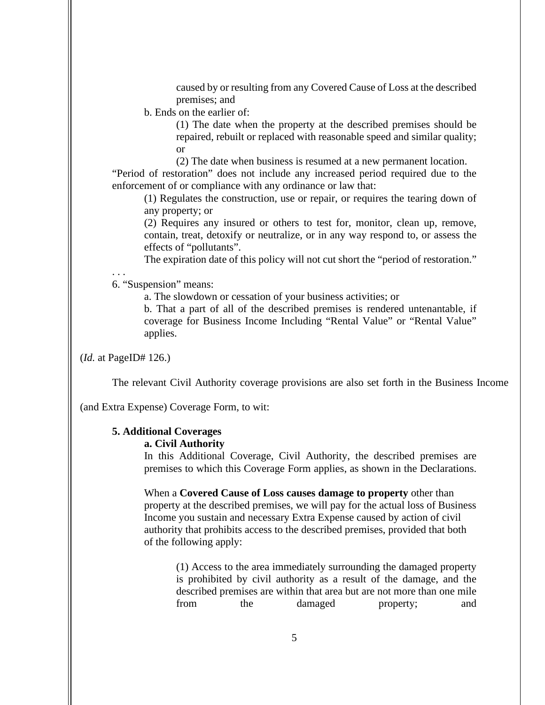caused by or resulting from any Covered Cause of Loss at the described premises; and

b. Ends on the earlier of:

(1) The date when the property at the described premises should be repaired, rebuilt or replaced with reasonable speed and similar quality; or

(2) The date when business is resumed at a new permanent location. "Period of restoration" does not include any increased period required due to the

enforcement of or compliance with any ordinance or law that:

(1) Regulates the construction, use or repair, or requires the tearing down of any property; or

(2) Requires any insured or others to test for, monitor, clean up, remove, contain, treat, detoxify or neutralize, or in any way respond to, or assess the effects of "pollutants".

The expiration date of this policy will not cut short the "period of restoration."

. . .

6. "Suspension" means:

a. The slowdown or cessation of your business activities; or

b. That a part of all of the described premises is rendered untenantable, if coverage for Business Income Including "Rental Value" or "Rental Value" applies.

(*Id.* at PageID# 126.)

The relevant Civil Authority coverage provisions are also set forth in the Business Income

(and Extra Expense) Coverage Form, to wit:

### **5. Additional Coverages**

#### **a. Civil Authority**

In this Additional Coverage, Civil Authority, the described premises are premises to which this Coverage Form applies, as shown in the Declarations.

When a **Covered Cause of Loss causes damage to property** other than property at the described premises, we will pay for the actual loss of Business Income you sustain and necessary Extra Expense caused by action of civil authority that prohibits access to the described premises, provided that both of the following apply:

(1) Access to the area immediately surrounding the damaged property is prohibited by civil authority as a result of the damage, and the described premises are within that area but are not more than one mile from the damaged property; and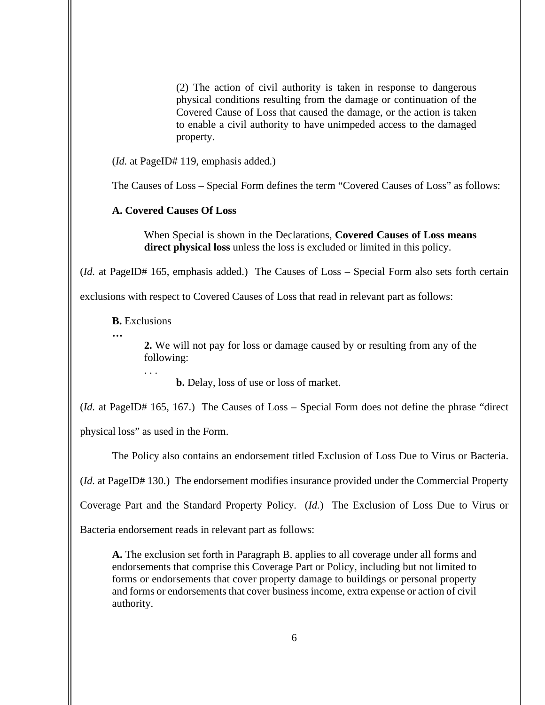(2) The action of civil authority is taken in response to dangerous physical conditions resulting from the damage or continuation of the Covered Cause of Loss that caused the damage, or the action is taken to enable a civil authority to have unimpeded access to the damaged property.

(*Id.* at PageID# 119, emphasis added.)

The Causes of Loss – Special Form defines the term "Covered Causes of Loss" as follows:

# **A. Covered Causes Of Loss**

When Special is shown in the Declarations, **Covered Causes of Loss means direct physical loss** unless the loss is excluded or limited in this policy.

(*Id.* at PageID# 165, emphasis added.) The Causes of Loss – Special Form also sets forth certain

exclusions with respect to Covered Causes of Loss that read in relevant part as follows:

**B.** Exclusions

**…**

**2.** We will not pay for loss or damage caused by or resulting from any of the following:

**b.** Delay, loss of use or loss of market.

(*Id.* at PageID# 165, 167.) The Causes of Loss – Special Form does not define the phrase "direct

physical loss" as used in the Form.

. . .

The Policy also contains an endorsement titled Exclusion of Loss Due to Virus or Bacteria.

(*Id.* at PageID# 130.) The endorsement modifies insurance provided under the Commercial Property

Coverage Part and the Standard Property Policy. (*Id.*) The Exclusion of Loss Due to Virus or

Bacteria endorsement reads in relevant part as follows:

**A.** The exclusion set forth in Paragraph B. applies to all coverage under all forms and endorsements that comprise this Coverage Part or Policy, including but not limited to forms or endorsements that cover property damage to buildings or personal property and forms or endorsements that cover business income, extra expense or action of civil authority.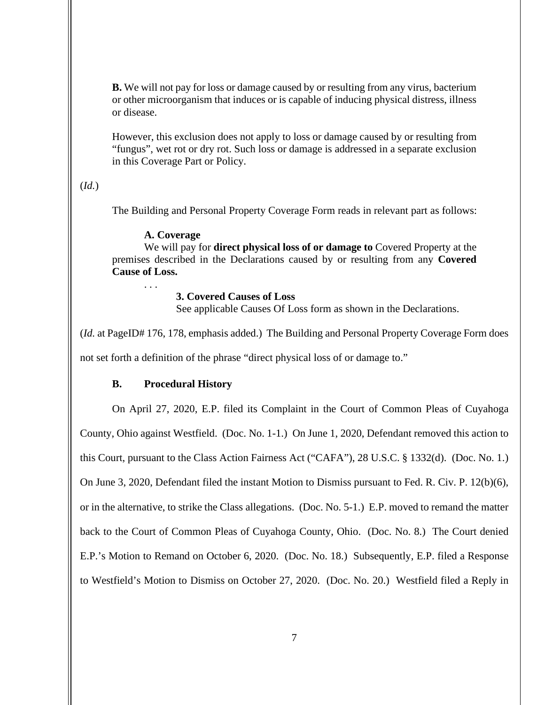**B.** We will not pay for loss or damage caused by or resulting from any virus, bacterium or other microorganism that induces or is capable of inducing physical distress, illness or disease.

However, this exclusion does not apply to loss or damage caused by or resulting from "fungus", wet rot or dry rot. Such loss or damage is addressed in a separate exclusion in this Coverage Part or Policy.

# (*Id.*)

The Building and Personal Property Coverage Form reads in relevant part as follows:

# **A. Coverage**

. . .

We will pay for **direct physical loss of or damage to** Covered Property at the premises described in the Declarations caused by or resulting from any **Covered Cause of Loss.**

# **3. Covered Causes of Loss**

See applicable Causes Of Loss form as shown in the Declarations.

(*Id.* at PageID# 176, 178, emphasis added.) The Building and Personal Property Coverage Form does not set forth a definition of the phrase "direct physical loss of or damage to."

# **B. Procedural History**

On April 27, 2020, E.P. filed its Complaint in the Court of Common Pleas of Cuyahoga County, Ohio against Westfield. (Doc. No. 1-1.) On June 1, 2020, Defendant removed this action to this Court, pursuant to the Class Action Fairness Act ("CAFA"), 28 U.S.C. § 1332(d). (Doc. No. 1.) On June 3, 2020, Defendant filed the instant Motion to Dismiss pursuant to Fed. R. Civ. P. 12(b)(6), or in the alternative, to strike the Class allegations. (Doc. No. 5-1.) E.P. moved to remand the matter back to the Court of Common Pleas of Cuyahoga County, Ohio. (Doc. No. 8.) The Court denied E.P.'s Motion to Remand on October 6, 2020. (Doc. No. 18.) Subsequently, E.P. filed a Response to Westfield's Motion to Dismiss on October 27, 2020. (Doc. No. 20.) Westfield filed a Reply in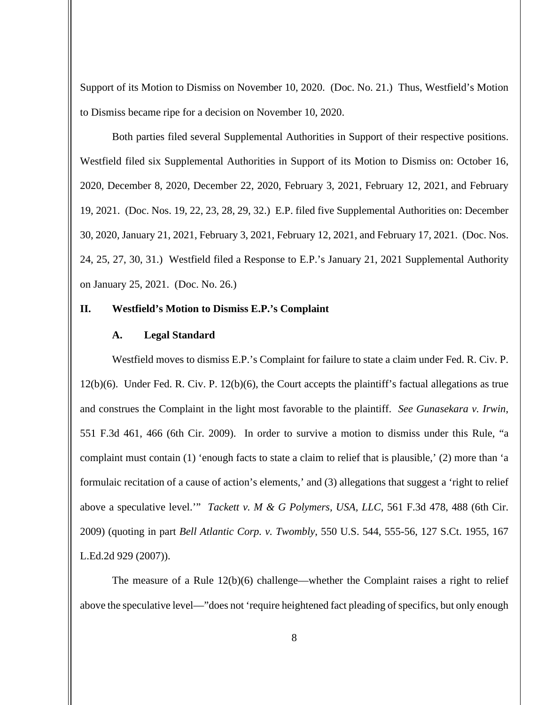Support of its Motion to Dismiss on November 10, 2020. (Doc. No. 21.) Thus, Westfield's Motion to Dismiss became ripe for a decision on November 10, 2020.

Both parties filed several Supplemental Authorities in Support of their respective positions. Westfield filed six Supplemental Authorities in Support of its Motion to Dismiss on: October 16, 2020, December 8, 2020, December 22, 2020, February 3, 2021, February 12, 2021, and February 19, 2021. (Doc. Nos. 19, 22, 23, 28, 29, 32.) E.P. filed five Supplemental Authorities on: December 30, 2020, January 21, 2021, February 3, 2021, February 12, 2021, and February 17, 2021. (Doc. Nos. 24, 25, 27, 30, 31.) Westfield filed a Response to E.P.'s January 21, 2021 Supplemental Authority on January 25, 2021. (Doc. No. 26.)

# **II. Westfield's Motion to Dismiss E.P.'s Complaint**

# **A. Legal Standard**

Westfield moves to dismiss E.P.'s Complaint for failure to state a claim under Fed. R. Civ. P. 12(b)(6). Under Fed. R. Civ. P. 12(b)(6), the Court accepts the plaintiff's factual allegations as true and construes the Complaint in the light most favorable to the plaintiff. *See Gunasekara v. Irwin*, 551 F.3d 461, 466 (6th Cir. 2009). In order to survive a motion to dismiss under this Rule, "a complaint must contain (1) 'enough facts to state a claim to relief that is plausible,' (2) more than 'a formulaic recitation of a cause of action's elements,' and (3) allegations that suggest a 'right to relief above a speculative level.'" *Tackett v. M & G Polymers, USA, LLC*, 561 F.3d 478, 488 (6th Cir. 2009) (quoting in part *Bell Atlantic Corp. v. Twombly*, 550 U.S. 544, 555-56, 127 S.Ct. 1955, 167 L.Ed.2d 929 (2007)).

The measure of a Rule  $12(b)(6)$  challenge—whether the Complaint raises a right to relief above the speculative level—"does not 'require heightened fact pleading of specifics, but only enough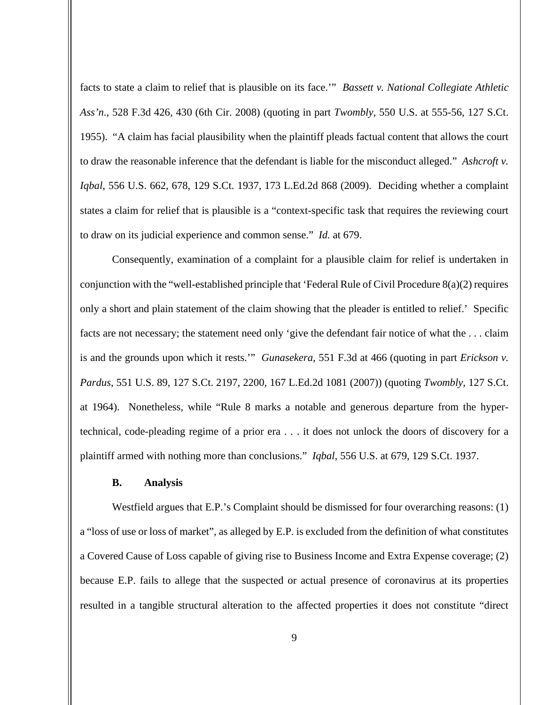facts to state a claim to relief that is plausible on its face.'" *Bassett v. National Collegiate Athletic Ass'n*., 528 F.3d 426, 430 (6th Cir. 2008) (quoting in part *Twombly*, 550 U.S. at 555-56, 127 S.Ct. 1955). "A claim has facial plausibility when the plaintiff pleads factual content that allows the court to draw the reasonable inference that the defendant is liable for the misconduct alleged." *Ashcroft v. Iqbal*, 556 U.S. 662, 678, 129 S.Ct. 1937, 173 L.Ed.2d 868 (2009). Deciding whether a complaint states a claim for relief that is plausible is a "context-specific task that requires the reviewing court to draw on its judicial experience and common sense." *Id.* at 679.

Consequently, examination of a complaint for a plausible claim for relief is undertaken in conjunction with the "well-established principle that 'Federal Rule of Civil Procedure 8(a)(2) requires only a short and plain statement of the claim showing that the pleader is entitled to relief.' Specific facts are not necessary; the statement need only 'give the defendant fair notice of what the . . . claim is and the grounds upon which it rests.'" *Gunasekera*, 551 F.3d at 466 (quoting in part *Erickson v. Pardus*, 551 U.S. 89, 127 S.Ct. 2197, 2200, 167 L.Ed.2d 1081 (2007)) (quoting *Twombly,* 127 S.Ct. at 1964). Nonetheless, while "Rule 8 marks a notable and generous departure from the hypertechnical, code-pleading regime of a prior era . . . it does not unlock the doors of discovery for a plaintiff armed with nothing more than conclusions." *Iqbal,* 556 U.S. at 679, 129 S.Ct. 1937.

### **B. Analysis**

Westfield argues that E.P.'s Complaint should be dismissed for four overarching reasons: (1) a "loss of use or loss of market", as alleged by E.P. is excluded from the definition of what constitutes a Covered Cause of Loss capable of giving rise to Business Income and Extra Expense coverage; (2) because E.P. fails to allege that the suspected or actual presence of coronavirus at its properties resulted in a tangible structural alteration to the affected properties it does not constitute "direct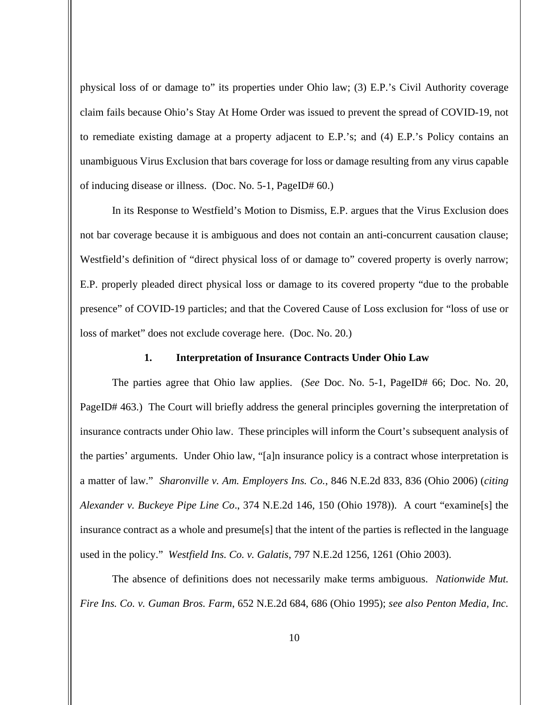physical loss of or damage to" its properties under Ohio law; (3) E.P.'s Civil Authority coverage claim fails because Ohio's Stay At Home Order was issued to prevent the spread of COVID-19, not to remediate existing damage at a property adjacent to E.P.'s; and (4) E.P.'s Policy contains an unambiguous Virus Exclusion that bars coverage for loss or damage resulting from any virus capable of inducing disease or illness. (Doc. No. 5-1, PageID# 60.)

In its Response to Westfield's Motion to Dismiss, E.P. argues that the Virus Exclusion does not bar coverage because it is ambiguous and does not contain an anti-concurrent causation clause; Westfield's definition of "direct physical loss of or damage to" covered property is overly narrow; E.P. properly pleaded direct physical loss or damage to its covered property "due to the probable presence" of COVID-19 particles; and that the Covered Cause of Loss exclusion for "loss of use or loss of market" does not exclude coverage here. (Doc. No. 20.)

### **1. Interpretation of Insurance Contracts Under Ohio Law**

The parties agree that Ohio law applies. (*See* Doc. No. 5-1, PageID# 66; Doc. No. 20, PageID# 463.) The Court will briefly address the general principles governing the interpretation of insurance contracts under Ohio law. These principles will inform the Court's subsequent analysis of the parties' arguments. Under Ohio law, "[a]n insurance policy is a contract whose interpretation is a matter of law." *Sharonville v. Am. Employers Ins. Co.*, 846 N.E.2d 833, 836 (Ohio 2006) (*citing Alexander v. Buckeye Pipe Line Co*., 374 N.E.2d 146, 150 (Ohio 1978)). A court "examine[s] the insurance contract as a whole and presume[s] that the intent of the parties is reflected in the language used in the policy." *Westfield Ins. Co. v. Galatis*, 797 N.E.2d 1256, 1261 (Ohio 2003).

The absence of definitions does not necessarily make terms ambiguous. *Nationwide Mut. Fire Ins. Co. v. Guman Bros. Farm*, 652 N.E.2d 684, 686 (Ohio 1995); *see also Penton Media, Inc.*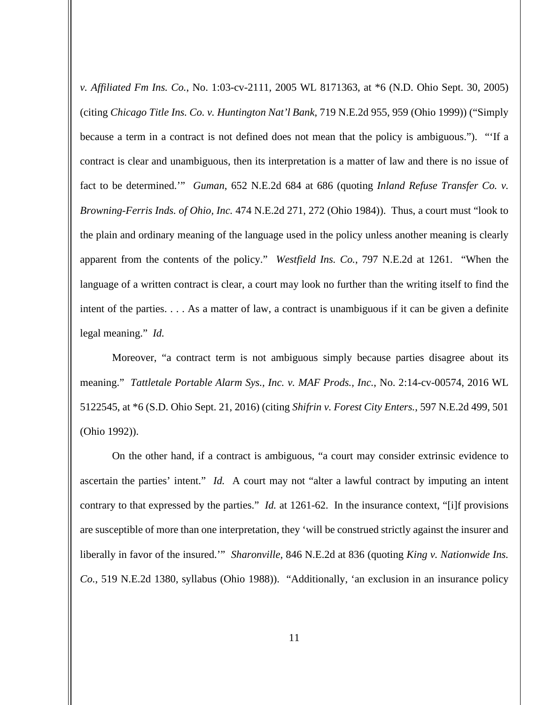*v. Affiliated Fm Ins. Co.*, No. 1:03-cv-2111, 2005 WL 8171363, at \*6 (N.D. Ohio Sept. 30, 2005) (citing *Chicago Title Ins. Co. v. Huntington Nat'l Bank*, 719 N.E.2d 955, 959 (Ohio 1999)) ("Simply because a term in a contract is not defined does not mean that the policy is ambiguous."). "'If a contract is clear and unambiguous, then its interpretation is a matter of law and there is no issue of fact to be determined.'" *Guman*, 652 N.E.2d 684 at 686 (quoting *Inland Refuse Transfer Co. v. Browning-Ferris Inds. of Ohio, Inc.* 474 N.E.2d 271, 272 (Ohio 1984)). Thus, a court must "look to the plain and ordinary meaning of the language used in the policy unless another meaning is clearly apparent from the contents of the policy." *Westfield Ins. Co.*, 797 N.E.2d at 1261. "When the language of a written contract is clear, a court may look no further than the writing itself to find the intent of the parties. . . . As a matter of law, a contract is unambiguous if it can be given a definite legal meaning." *Id.*

Moreover, "a contract term is not ambiguous simply because parties disagree about its meaning." *Tattletale Portable Alarm Sys., Inc. v. MAF Prods., Inc.*, No. 2:14-cv-00574, 2016 WL 5122545, at \*6 (S.D. Ohio Sept. 21, 2016) (citing *Shifrin v. Forest City Enters.*, 597 N.E.2d 499, 501 (Ohio 1992)).

On the other hand, if a contract is ambiguous, "a court may consider extrinsic evidence to ascertain the parties' intent." *Id.* A court may not "alter a lawful contract by imputing an intent contrary to that expressed by the parties." *Id.* at 1261-62. In the insurance context, "[i]f provisions are susceptible of more than one interpretation, they 'will be construed strictly against the insurer and liberally in favor of the insured.'" *Sharonville*, 846 N.E.2d at 836 (quoting *King v. Nationwide Ins. Co.*, 519 N.E.2d 1380, syllabus (Ohio 1988)). "Additionally, 'an exclusion in an insurance policy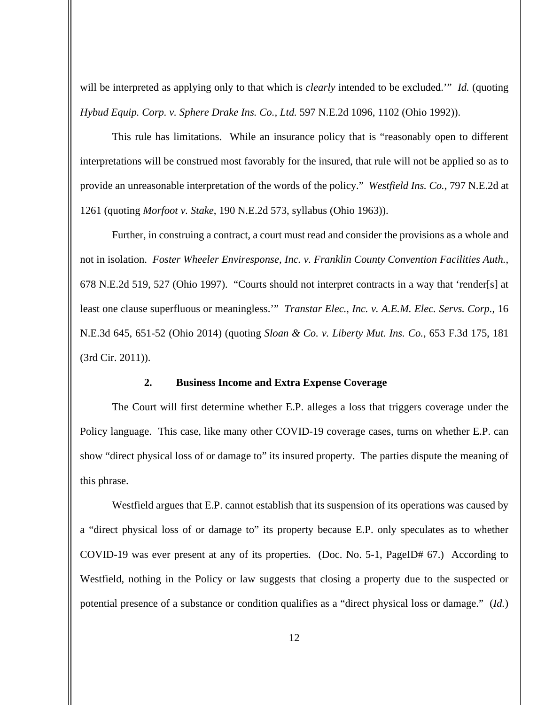will be interpreted as applying only to that which is *clearly* intended to be excluded.'" *Id.* (quoting *Hybud Equip. Corp. v. Sphere Drake Ins. Co., Ltd.* 597 N.E.2d 1096, 1102 (Ohio 1992)).

This rule has limitations. While an insurance policy that is "reasonably open to different interpretations will be construed most favorably for the insured, that rule will not be applied so as to provide an unreasonable interpretation of the words of the policy." *Westfield Ins. Co.*, 797 N.E.2d at 1261 (quoting *Morfoot v. Stake*, 190 N.E.2d 573, syllabus (Ohio 1963)).

Further, in construing a contract, a court must read and consider the provisions as a whole and not in isolation. *Foster Wheeler Enviresponse, Inc. v. Franklin County Convention Facilities Auth.*, 678 N.E.2d 519, 527 (Ohio 1997). "Courts should not interpret contracts in a way that 'render[s] at least one clause superfluous or meaningless.'" *Transtar Elec., Inc. v. A.E.M. Elec. Servs. Corp.*, 16 N.E.3d 645, 651-52 (Ohio 2014) (quoting *Sloan & Co. v. Liberty Mut. Ins. Co.*, 653 F.3d 175, 181 (3rd Cir. 2011)).

# **2. Business Income and Extra Expense Coverage**

The Court will first determine whether E.P. alleges a loss that triggers coverage under the Policy language. This case, like many other COVID-19 coverage cases, turns on whether E.P. can show "direct physical loss of or damage to" its insured property. The parties dispute the meaning of this phrase.

Westfield argues that E.P. cannot establish that its suspension of its operations was caused by a "direct physical loss of or damage to" its property because E.P. only speculates as to whether COVID-19 was ever present at any of its properties. (Doc. No. 5-1, PageID# 67.) According to Westfield, nothing in the Policy or law suggests that closing a property due to the suspected or potential presence of a substance or condition qualifies as a "direct physical loss or damage." (*Id.*)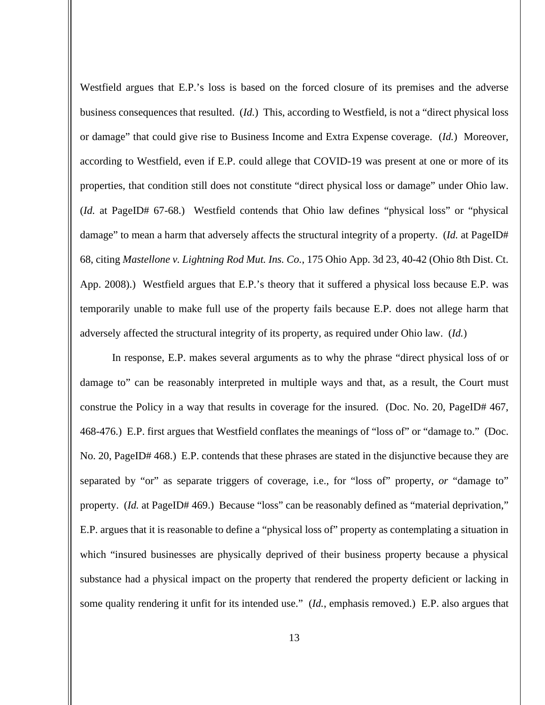Westfield argues that E.P.'s loss is based on the forced closure of its premises and the adverse business consequences that resulted. (*Id.*) This, according to Westfield, is not a "direct physical loss or damage" that could give rise to Business Income and Extra Expense coverage. (*Id.*) Moreover, according to Westfield, even if E.P. could allege that COVID-19 was present at one or more of its properties, that condition still does not constitute "direct physical loss or damage" under Ohio law. (*Id.* at PageID# 67-68.) Westfield contends that Ohio law defines "physical loss" or "physical damage" to mean a harm that adversely affects the structural integrity of a property. (*Id.* at PageID# 68, citing *Mastellone v. Lightning Rod Mut. Ins. Co.*, 175 Ohio App. 3d 23, 40-42 (Ohio 8th Dist. Ct. App. 2008).) Westfield argues that E.P.'s theory that it suffered a physical loss because E.P. was temporarily unable to make full use of the property fails because E.P. does not allege harm that adversely affected the structural integrity of its property, as required under Ohio law. (*Id.*)

In response, E.P. makes several arguments as to why the phrase "direct physical loss of or damage to" can be reasonably interpreted in multiple ways and that, as a result, the Court must construe the Policy in a way that results in coverage for the insured. (Doc. No. 20, PageID# 467, 468-476.) E.P. first argues that Westfield conflates the meanings of "loss of" or "damage to." (Doc. No. 20, PageID# 468.) E.P. contends that these phrases are stated in the disjunctive because they are separated by "or" as separate triggers of coverage, i.e., for "loss of" property, *or* "damage to" property. (*Id.* at PageID# 469.) Because "loss" can be reasonably defined as "material deprivation," E.P. argues that it is reasonable to define a "physical loss of" property as contemplating a situation in which "insured businesses are physically deprived of their business property because a physical substance had a physical impact on the property that rendered the property deficient or lacking in some quality rendering it unfit for its intended use." (*Id.*, emphasis removed.) E.P. also argues that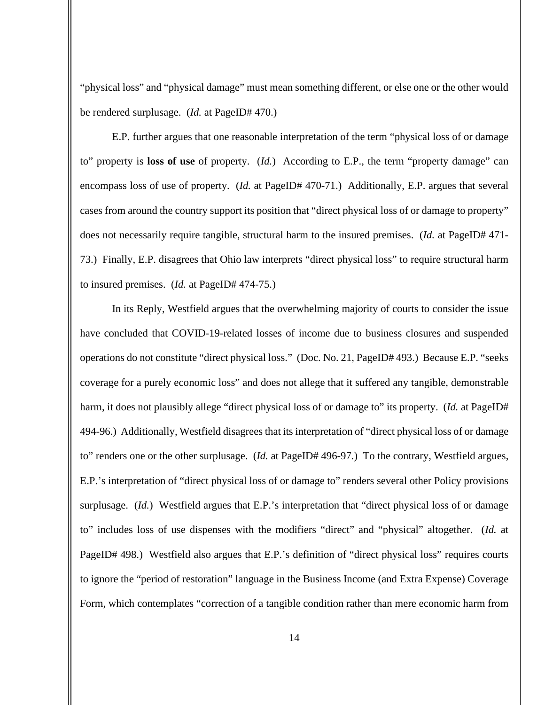"physical loss" and "physical damage" must mean something different, or else one or the other would be rendered surplusage. (*Id.* at PageID# 470.)

E.P. further argues that one reasonable interpretation of the term "physical loss of or damage to" property is **loss of use** of property. (*Id.*) According to E.P., the term "property damage" can encompass loss of use of property. (*Id.* at PageID# 470-71.) Additionally, E.P. argues that several cases from around the country support its position that "direct physical loss of or damage to property" does not necessarily require tangible, structural harm to the insured premises. (*Id.* at PageID# 471- 73.) Finally, E.P. disagrees that Ohio law interprets "direct physical loss" to require structural harm to insured premises. (*Id.* at PageID# 474-75.)

In its Reply, Westfield argues that the overwhelming majority of courts to consider the issue have concluded that COVID-19-related losses of income due to business closures and suspended operations do not constitute "direct physical loss." (Doc. No. 21, PageID# 493.) Because E.P. "seeks coverage for a purely economic loss" and does not allege that it suffered any tangible, demonstrable harm, it does not plausibly allege "direct physical loss of or damage to" its property. (*Id.* at PageID# 494-96.) Additionally, Westfield disagrees that its interpretation of "direct physical loss of or damage to" renders one or the other surplusage. (*Id.* at PageID# 496-97.) To the contrary, Westfield argues, E.P.'s interpretation of "direct physical loss of or damage to" renders several other Policy provisions surplusage. (*Id.*) Westfield argues that E.P.'s interpretation that "direct physical loss of or damage to" includes loss of use dispenses with the modifiers "direct" and "physical" altogether. (*Id.* at PageID# 498.) Westfield also argues that E.P.'s definition of "direct physical loss" requires courts to ignore the "period of restoration" language in the Business Income (and Extra Expense) Coverage Form, which contemplates "correction of a tangible condition rather than mere economic harm from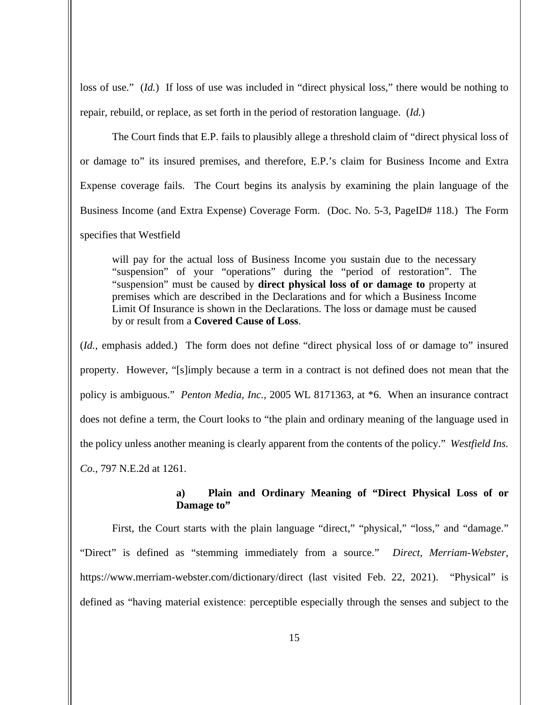loss of use." (*Id.*) If loss of use was included in "direct physical loss," there would be nothing to repair, rebuild, or replace, as set forth in the period of restoration language. (*Id.*)

The Court finds that E.P. fails to plausibly allege a threshold claim of "direct physical loss of or damage to" its insured premises, and therefore, E.P.'s claim for Business Income and Extra Expense coverage fails. The Court begins its analysis by examining the plain language of the Business Income (and Extra Expense) Coverage Form. (Doc. No. 5-3, PageID# 118.) The Form specifies that Westfield

will pay for the actual loss of Business Income you sustain due to the necessary "suspension" of your "operations" during the "period of restoration". The "suspension" must be caused by **direct physical loss of or damage to** property at premises which are described in the Declarations and for which a Business Income Limit Of Insurance is shown in the Declarations. The loss or damage must be caused by or result from a **Covered Cause of Loss**.

(*Id.*, emphasis added.) The form does not define "direct physical loss of or damage to" insured property. However, "[s]imply because a term in a contract is not defined does not mean that the policy is ambiguous." *Penton Media, Inc.*, 2005 WL 8171363, at \*6. When an insurance contract does not define a term, the Court looks to "the plain and ordinary meaning of the language used in the policy unless another meaning is clearly apparent from the contents of the policy." *Westfield Ins. Co.*, 797 N.E.2d at 1261.

# **a) Plain and Ordinary Meaning of "Direct Physical Loss of or Damage to"**

First, the Court starts with the plain language "direct," "physical," "loss," and "damage." "Direct" is defined as "stemming immediately from a source." *Direct, Merriam-Webster*, https://www.merriam-webster.com/dictionary/direct (last visited Feb. 22, 2021). "Physical" is defined as "having material existence: perceptible especially through the senses and subject to the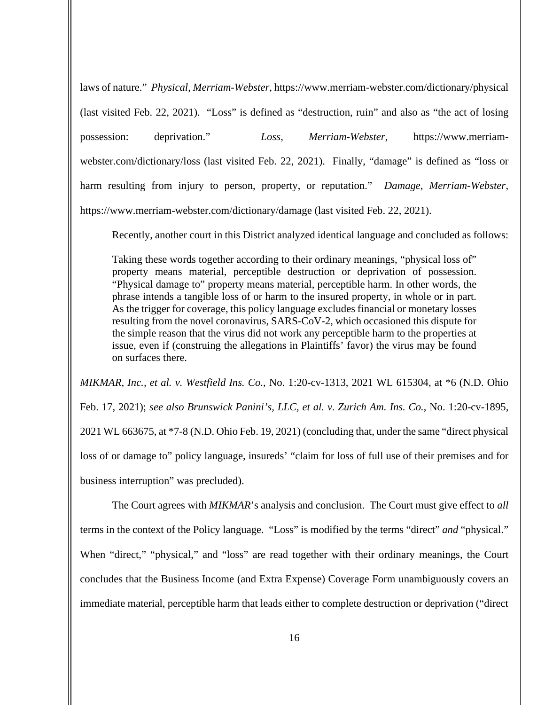laws of nature." *Physical*, *Merriam-Webster*, https://www.merriam-webster.com/dictionary/physical (last visited Feb. 22, 2021). "Loss" is defined as "destruction, ruin" and also as "the act of losing possession: deprivation." *Loss*, *Merriam-Webster*, https://www.merriamwebster.com/dictionary/loss (last visited Feb. 22, 2021). Finally, "damage" is defined as "loss or harm resulting from injury to person, property, or reputation." *Damage*, *Merriam-Webster*, https://www.merriam-webster.com/dictionary/damage (last visited Feb. 22, 2021).

Recently, another court in this District analyzed identical language and concluded as follows:

Taking these words together according to their ordinary meanings, "physical loss of" property means material, perceptible destruction or deprivation of possession. "Physical damage to" property means material, perceptible harm. In other words, the phrase intends a tangible loss of or harm to the insured property, in whole or in part. As the trigger for coverage, this policy language excludes financial or monetary losses resulting from the novel coronavirus, SARS-CoV-2, which occasioned this dispute for the simple reason that the virus did not work any perceptible harm to the properties at issue, even if (construing the allegations in Plaintiffs' favor) the virus may be found on surfaces there.

*MIKMAR*, *Inc., et al. v. Westfield Ins. Co.*, No. 1:20-cv-1313, 2021 WL 615304, at \*6 (N.D. Ohio Feb. 17, 2021); *see also Brunswick Panini's, LLC, et al. v. Zurich Am. Ins. Co.*, No. 1:20-cv-1895, 2021 WL 663675, at \*7-8 (N.D. Ohio Feb. 19, 2021) (concluding that, under the same "direct physical loss of or damage to" policy language, insureds' "claim for loss of full use of their premises and for business interruption" was precluded).

The Court agrees with *MIKMAR*'s analysis and conclusion. The Court must give effect to *all* terms in the context of the Policy language. "Loss" is modified by the terms "direct" *and* "physical." When "direct," "physical," and "loss" are read together with their ordinary meanings, the Court concludes that the Business Income (and Extra Expense) Coverage Form unambiguously covers an immediate material, perceptible harm that leads either to complete destruction or deprivation ("direct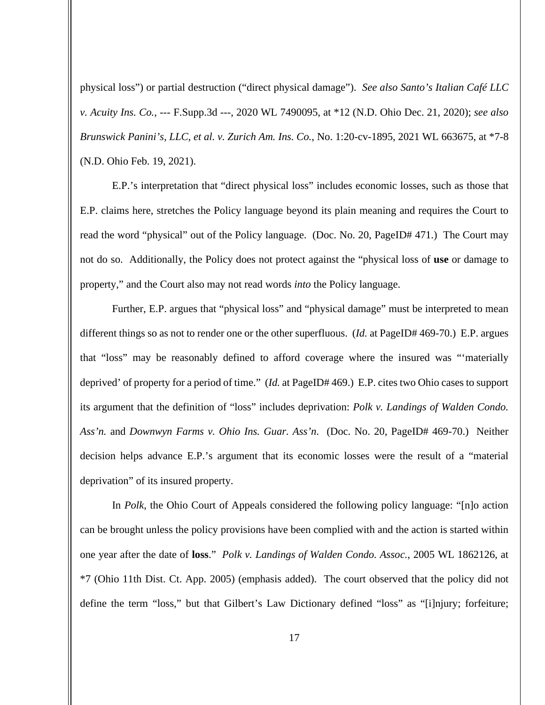physical loss") or partial destruction ("direct physical damage"). *See also Santo's Italian Café LLC v. Acuity Ins. Co.*, --- F.Supp.3d ---, 2020 WL 7490095, at \*12 (N.D. Ohio Dec. 21, 2020); *see also Brunswick Panini's, LLC, et al. v. Zurich Am. Ins. Co.*, No. 1:20-cv-1895, 2021 WL 663675, at \*7-8 (N.D. Ohio Feb. 19, 2021).

E.P.'s interpretation that "direct physical loss" includes economic losses, such as those that E.P. claims here, stretches the Policy language beyond its plain meaning and requires the Court to read the word "physical" out of the Policy language. (Doc. No. 20, PageID# 471.) The Court may not do so. Additionally, the Policy does not protect against the "physical loss of **use** or damage to property," and the Court also may not read words *into* the Policy language.

Further, E.P. argues that "physical loss" and "physical damage" must be interpreted to mean different things so as not to render one or the other superfluous. (*Id.* at PageID# 469-70.) E.P. argues that "loss" may be reasonably defined to afford coverage where the insured was "'materially deprived' of property for a period of time." (*Id.* at PageID# 469.) E.P. cites two Ohio cases to support its argument that the definition of "loss" includes deprivation: *Polk v. Landings of Walden Condo. Ass'n.* and *Downwyn Farms v. Ohio Ins. Guar. Ass'n*. (Doc. No. 20, PageID# 469-70.) Neither decision helps advance E.P.'s argument that its economic losses were the result of a "material deprivation" of its insured property.

In *Polk*, the Ohio Court of Appeals considered the following policy language: "[n]o action can be brought unless the policy provisions have been complied with and the action is started within one year after the date of **loss**." *Polk v. Landings of Walden Condo. Assoc.*, 2005 WL 1862126, at \*7 (Ohio 11th Dist. Ct. App. 2005) (emphasis added). The court observed that the policy did not define the term "loss," but that Gilbert's Law Dictionary defined "loss" as "[i]njury; forfeiture;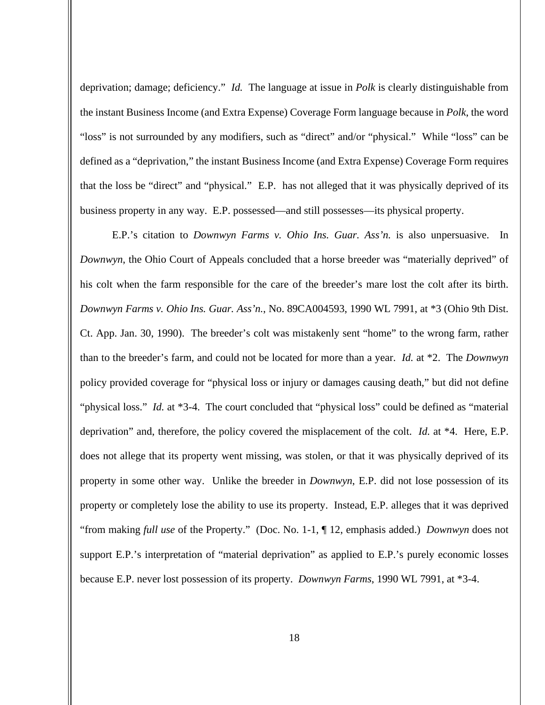deprivation; damage; deficiency." *Id.* The language at issue in *Polk* is clearly distinguishable from the instant Business Income (and Extra Expense) Coverage Form language because in *Polk*, the word "loss" is not surrounded by any modifiers, such as "direct" and/or "physical." While "loss" can be defined as a "deprivation," the instant Business Income (and Extra Expense) Coverage Form requires that the loss be "direct" and "physical." E.P. has not alleged that it was physically deprived of its business property in any way. E.P. possessed—and still possesses—its physical property.

E.P.'s citation to *Downwyn Farms v. Ohio Ins. Guar. Ass'n.* is also unpersuasive. In *Downwyn*, the Ohio Court of Appeals concluded that a horse breeder was "materially deprived" of his colt when the farm responsible for the care of the breeder's mare lost the colt after its birth. *Downwyn Farms v. Ohio Ins. Guar. Ass'n.*, No. 89CA004593, 1990 WL 7991, at \*3 (Ohio 9th Dist. Ct. App. Jan. 30, 1990). The breeder's colt was mistakenly sent "home" to the wrong farm, rather than to the breeder's farm, and could not be located for more than a year. *Id.* at \*2. The *Downwyn* policy provided coverage for "physical loss or injury or damages causing death," but did not define "physical loss." *Id.* at \*3-4. The court concluded that "physical loss" could be defined as "material deprivation" and, therefore, the policy covered the misplacement of the colt. *Id.* at \*4. Here, E.P. does not allege that its property went missing, was stolen, or that it was physically deprived of its property in some other way. Unlike the breeder in *Downwyn*, E.P. did not lose possession of its property or completely lose the ability to use its property. Instead, E.P. alleges that it was deprived "from making *full use* of the Property." (Doc. No. 1-1, ¶ 12, emphasis added.) *Downwyn* does not support E.P.'s interpretation of "material deprivation" as applied to E.P.'s purely economic losses because E.P. never lost possession of its property. *Downwyn Farms*, 1990 WL 7991, at \*3-4.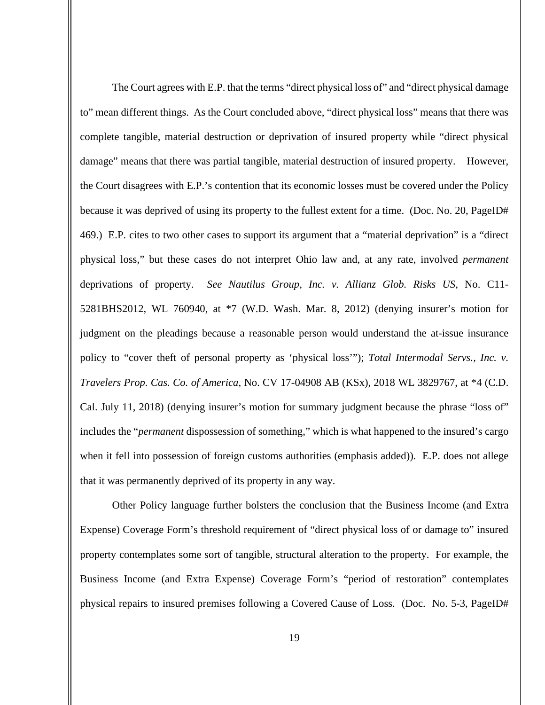The Court agrees with E.P. that the terms "direct physical loss of" and "direct physical damage to" mean different things. As the Court concluded above, "direct physical loss" means that there was complete tangible, material destruction or deprivation of insured property while "direct physical damage" means that there was partial tangible, material destruction of insured property. However, the Court disagrees with E.P.'s contention that its economic losses must be covered under the Policy because it was deprived of using its property to the fullest extent for a time. (Doc. No. 20, PageID# 469.) E.P. cites to two other cases to support its argument that a "material deprivation" is a "direct physical loss," but these cases do not interpret Ohio law and, at any rate, involved *permanent* deprivations of property. *See Nautilus Group, Inc. v. Allianz Glob. Risks US*, No. C11- 5281BHS2012, WL 760940, at \*7 (W.D. Wash. Mar. 8, 2012) (denying insurer's motion for judgment on the pleadings because a reasonable person would understand the at-issue insurance policy to "cover theft of personal property as 'physical loss'"); *Total Intermodal Servs., Inc. v. Travelers Prop. Cas. Co. of America*, No. CV 17-04908 AB (KSx), 2018 WL 3829767, at \*4 (C.D. Cal. July 11, 2018) (denying insurer's motion for summary judgment because the phrase "loss of" includes the "*permanent* dispossession of something," which is what happened to the insured's cargo when it fell into possession of foreign customs authorities (emphasis added)). E.P. does not allege that it was permanently deprived of its property in any way.

Other Policy language further bolsters the conclusion that the Business Income (and Extra Expense) Coverage Form's threshold requirement of "direct physical loss of or damage to" insured property contemplates some sort of tangible, structural alteration to the property. For example, the Business Income (and Extra Expense) Coverage Form's "period of restoration" contemplates physical repairs to insured premises following a Covered Cause of Loss. (Doc. No. 5-3, PageID#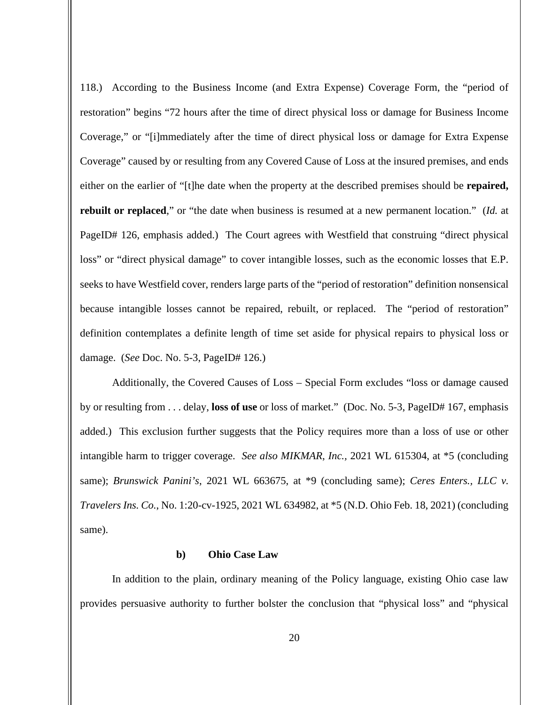118.) According to the Business Income (and Extra Expense) Coverage Form, the "period of restoration" begins "72 hours after the time of direct physical loss or damage for Business Income Coverage," or "[i]mmediately after the time of direct physical loss or damage for Extra Expense Coverage" caused by or resulting from any Covered Cause of Loss at the insured premises, and ends either on the earlier of "[t]he date when the property at the described premises should be **repaired, rebuilt or replaced**," or "the date when business is resumed at a new permanent location." (*Id.* at PageID# 126, emphasis added.) The Court agrees with Westfield that construing "direct physical loss" or "direct physical damage" to cover intangible losses, such as the economic losses that E.P. seeks to have Westfield cover, renders large parts of the "period of restoration" definition nonsensical because intangible losses cannot be repaired, rebuilt, or replaced. The "period of restoration" definition contemplates a definite length of time set aside for physical repairs to physical loss or damage. (*See* Doc. No. 5-3, PageID# 126.)

Additionally, the Covered Causes of Loss – Special Form excludes "loss or damage caused by or resulting from . . . delay, **loss of use** or loss of market." (Doc. No. 5-3, PageID# 167, emphasis added.) This exclusion further suggests that the Policy requires more than a loss of use or other intangible harm to trigger coverage. *See also MIKMAR*, *Inc.,* 2021 WL 615304, at \*5 (concluding same); *Brunswick Panini's*, 2021 WL 663675, at \*9 (concluding same); *Ceres Enters., LLC v. Travelers Ins. Co.*, No. 1:20-cv-1925, 2021 WL 634982, at \*5 (N.D. Ohio Feb. 18, 2021) (concluding same).

### **b) Ohio Case Law**

In addition to the plain, ordinary meaning of the Policy language, existing Ohio case law provides persuasive authority to further bolster the conclusion that "physical loss" and "physical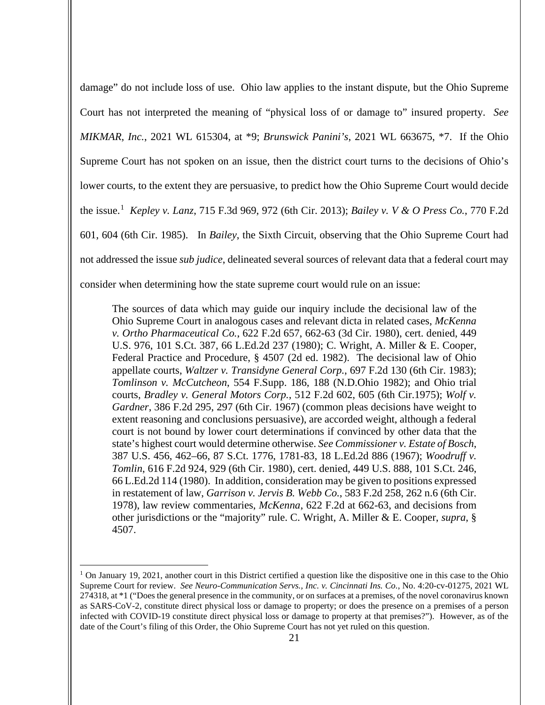damage" do not include loss of use. Ohio law applies to the instant dispute, but the Ohio Supreme Court has not interpreted the meaning of "physical loss of or damage to" insured property. *See MIKMAR*, *Inc.*, 2021 WL 615304, at \*9; *Brunswick Panini's*, 2021 WL 663675, \*7. If the Ohio Supreme Court has not spoken on an issue, then the district court turns to the decisions of Ohio's lower courts, to the extent they are persuasive, to predict how the Ohio Supreme Court would decide the issue.[1](#page-20-0) *Kepley v. Lanz*, 715 F.3d 969, 972 (6th Cir. 2013); *Bailey v. V & O Press Co.*, 770 F.2d 601, 604 (6th Cir. 1985). In *Bailey*, the Sixth Circuit, observing that the Ohio Supreme Court had not addressed the issue *sub judice*, delineated several sources of relevant data that a federal court may consider when determining how the state supreme court would rule on an issue:

The sources of data which may guide our inquiry include the decisional law of the Ohio Supreme Court in analogous cases and relevant dicta in related cases, *McKenna v. Ortho Pharmaceutical Co.*, 622 F.2d 657, 662-63 (3d Cir. 1980), cert. denied, 449 U.S. 976, 101 S.Ct. 387, 66 L.Ed.2d 237 (1980); C. Wright, A. Miller & E. Cooper, Federal Practice and Procedure, § 4507 (2d ed. 1982). The decisional law of Ohio appellate courts, *Waltzer v. Transidyne General Corp.*, 697 F.2d 130 (6th Cir. 1983); *Tomlinson v. McCutcheon*, 554 F.Supp. 186, 188 (N.D.Ohio 1982); and Ohio trial courts, *Bradley v. General Motors Corp.*, 512 F.2d 602, 605 (6th Cir.1975); *Wolf v. Gardner*, 386 F.2d 295, 297 (6th Cir. 1967) (common pleas decisions have weight to extent reasoning and conclusions persuasive), are accorded weight, although a federal court is not bound by lower court determinations if convinced by other data that the state's highest court would determine otherwise. *See Commissioner v. Estate of Bosch*, 387 U.S. 456, 462–66, 87 S.Ct. 1776, 1781-83, 18 L.Ed.2d 886 (1967); *Woodruff v. Tomlin*, 616 F.2d 924, 929 (6th Cir. 1980), cert. denied, 449 U.S. 888, 101 S.Ct. 246, 66 L.Ed.2d 114 (1980). In addition, consideration may be given to positions expressed in restatement of law, *Garrison v. Jervis B. Webb Co.*, 583 F.2d 258, 262 n.6 (6th Cir. 1978), law review commentaries, *McKenna*, 622 F.2d at 662-63, and decisions from other jurisdictions or the "majority" rule. C. Wright, A. Miller & E. Cooper, *supra*, § 4507.

<span id="page-20-0"></span> $1$  On January 19, 2021, another court in this District certified a question like the dispositive one in this case to the Ohio Supreme Court for review. *See Neuro-Communication Servs., Inc. v. Cincinnati Ins. Co.*, No. 4:20-cv-01275, 2021 WL 274318, at \*1 ("Does the general presence in the community, or on surfaces at a premises, of the novel coronavirus known as SARS-CoV-2, constitute direct physical loss or damage to property; or does the presence on a premises of a person infected with COVID-19 constitute direct physical loss or damage to property at that premises?"). However, as of the date of the Court's filing of this Order, the Ohio Supreme Court has not yet ruled on this question.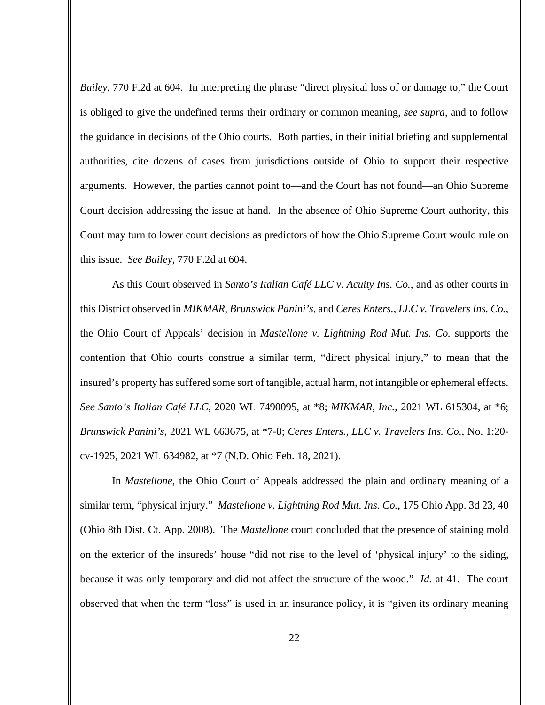*Bailey*, 770 F.2d at 604. In interpreting the phrase "direct physical loss of or damage to," the Court is obliged to give the undefined terms their ordinary or common meaning, *see supra*, and to follow the guidance in decisions of the Ohio courts. Both parties, in their initial briefing and supplemental authorities, cite dozens of cases from jurisdictions outside of Ohio to support their respective arguments. However, the parties cannot point to—and the Court has not found—an Ohio Supreme Court decision addressing the issue at hand. In the absence of Ohio Supreme Court authority, this Court may turn to lower court decisions as predictors of how the Ohio Supreme Court would rule on this issue. *See Bailey*, 770 F.2d at 604.

As this Court observed in *Santo's Italian Café LLC v. Acuity Ins. Co.*, and as other courts in this District observed in *MIKMAR*, *Brunswick Panini's*, and *Ceres Enters., LLC v. Travelers Ins. Co.*, the Ohio Court of Appeals' decision in *Mastellone v. Lightning Rod Mut. Ins. Co.* supports the contention that Ohio courts construe a similar term, "direct physical injury," to mean that the insured's property has suffered some sort of tangible, actual harm, not intangible or ephemeral effects. *See Santo's Italian Café LLC*, 2020 WL 7490095, at \*8; *MIKMAR*, *Inc.,* 2021 WL 615304, at \*6; *Brunswick Panini's*, 2021 WL 663675, at \*7-8; *Ceres Enters., LLC v. Travelers Ins. Co.*, No. 1:20 cv-1925, 2021 WL 634982, at \*7 (N.D. Ohio Feb. 18, 2021).

In *Mastellone*, the Ohio Court of Appeals addressed the plain and ordinary meaning of a similar term, "physical injury." *Mastellone v. Lightning Rod Mut. Ins. Co.*, 175 Ohio App. 3d 23, 40 (Ohio 8th Dist. Ct. App. 2008). The *Mastellone* court concluded that the presence of staining mold on the exterior of the insureds' house "did not rise to the level of 'physical injury' to the siding, because it was only temporary and did not affect the structure of the wood." *Id.* at 41. The court observed that when the term "loss" is used in an insurance policy, it is "given its ordinary meaning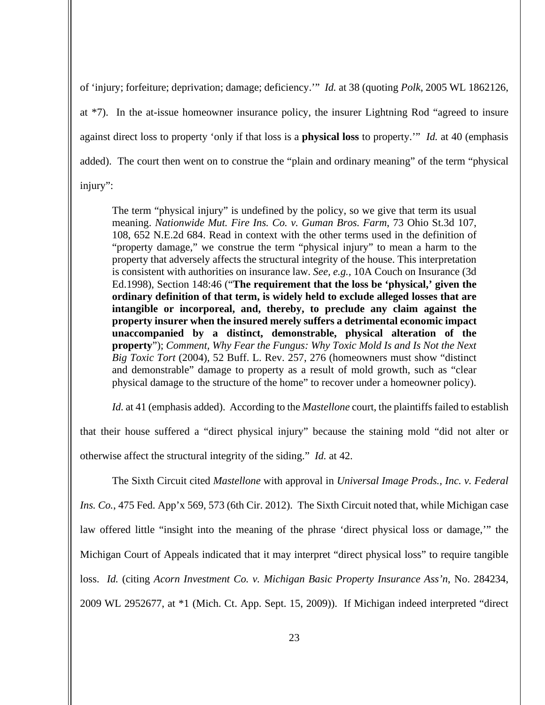of 'injury; forfeiture; deprivation; damage; deficiency.'" *Id.* at 38 (quoting *Polk*, 2005 WL 1862126, at \*7). In the at-issue homeowner insurance policy, the insurer Lightning Rod "agreed to insure against direct loss to property 'only if that loss is a **physical loss** to property.'" *Id.* at 40 (emphasis added). The court then went on to construe the "plain and ordinary meaning" of the term "physical injury":

The term "physical injury" is undefined by the policy, so we give that term its usual meaning. *Nationwide Mut. Fire Ins. Co. v. Guman Bros. Farm*, 73 Ohio St.3d 107, 108, 652 N.E.2d 684. Read in context with the other terms used in the definition of "property damage," we construe the term "physical injury" to mean a harm to the property that adversely affects the structural integrity of the house. This interpretation is consistent with authorities on insurance law. *See, e.g.,* 10A Couch on Insurance (3d Ed.1998), Section 148:46 ("**The requirement that the loss be 'physical,' given the ordinary definition of that term, is widely held to exclude alleged losses that are intangible or incorporeal, and, thereby, to preclude any claim against the property insurer when the insured merely suffers a detrimental economic impact unaccompanied by a distinct, demonstrable, physical alteration of the property**"); *Comment, Why Fear the Fungus: Why Toxic Mold Is and Is Not the Next Big Toxic Tort* (2004), 52 Buff. L. Rev. 257, 276 (homeowners must show "distinct and demonstrable" damage to property as a result of mold growth, such as "clear physical damage to the structure of the home" to recover under a homeowner policy).

*Id.* at 41 (emphasis added). According to the *Mastellone* court, the plaintiffs failed to establish

that their house suffered a "direct physical injury" because the staining mold "did not alter or otherwise affect the structural integrity of the siding." *Id.* at 42.

The Sixth Circuit cited *Mastellone* with approval in *Universal Image Prods., Inc. v. Federal Ins. Co.*, 475 Fed. App'x 569, 573 (6th Cir. 2012). The Sixth Circuit noted that, while Michigan case law offered little "insight into the meaning of the phrase 'direct physical loss or damage,'" the Michigan Court of Appeals indicated that it may interpret "direct physical loss" to require tangible loss. *Id.* (citing *Acorn Investment Co. v. Michigan Basic Property Insurance Ass'n*, No. 284234, 2009 WL 2952677, at \*1 (Mich. Ct. App. Sept. 15, 2009)). If Michigan indeed interpreted "direct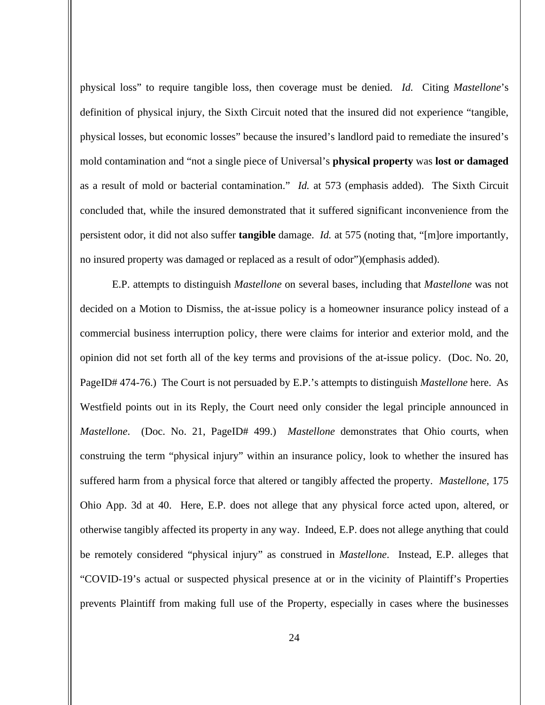physical loss" to require tangible loss, then coverage must be denied. *Id.* Citing *Mastellone*'s definition of physical injury, the Sixth Circuit noted that the insured did not experience "tangible, physical losses, but economic losses" because the insured's landlord paid to remediate the insured's mold contamination and "not a single piece of Universal's **physical property** was **lost or damaged** as a result of mold or bacterial contamination." *Id.* at 573 (emphasis added). The Sixth Circuit concluded that, while the insured demonstrated that it suffered significant inconvenience from the persistent odor, it did not also suffer **tangible** damage. *Id.* at 575 (noting that, "[m]ore importantly, no insured property was damaged or replaced as a result of odor")(emphasis added).

E.P. attempts to distinguish *Mastellone* on several bases, including that *Mastellone* was not decided on a Motion to Dismiss, the at-issue policy is a homeowner insurance policy instead of a commercial business interruption policy, there were claims for interior and exterior mold, and the opinion did not set forth all of the key terms and provisions of the at-issue policy. (Doc. No. 20, PageID# 474-76.) The Court is not persuaded by E.P.'s attempts to distinguish *Mastellone* here. As Westfield points out in its Reply, the Court need only consider the legal principle announced in *Mastellone*. (Doc. No. 21, PageID# 499.) *Mastellone* demonstrates that Ohio courts, when construing the term "physical injury" within an insurance policy, look to whether the insured has suffered harm from a physical force that altered or tangibly affected the property. *Mastellone*, 175 Ohio App. 3d at 40. Here, E.P. does not allege that any physical force acted upon, altered, or otherwise tangibly affected its property in any way. Indeed, E.P. does not allege anything that could be remotely considered "physical injury" as construed in *Mastellone*. Instead, E.P. alleges that "COVID-19's actual or suspected physical presence at or in the vicinity of Plaintiff's Properties prevents Plaintiff from making full use of the Property, especially in cases where the businesses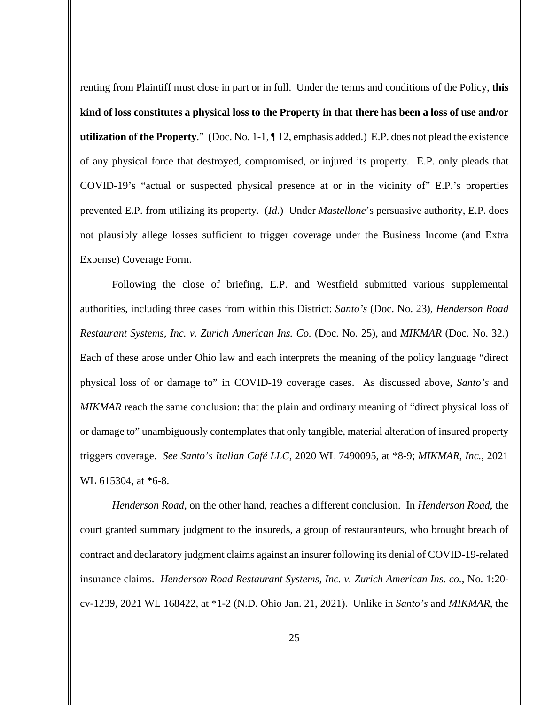renting from Plaintiff must close in part or in full. Under the terms and conditions of the Policy, **this kind of loss constitutes a physical loss to the Property in that there has been a loss of use and/or utilization of the Property**." (Doc. No. 1-1, ¶ 12, emphasis added.) E.P. does not plead the existence of any physical force that destroyed, compromised, or injured its property. E.P. only pleads that COVID-19's "actual or suspected physical presence at or in the vicinity of" E.P.'s properties prevented E.P. from utilizing its property. (*Id.*) Under *Mastellone*'s persuasive authority, E.P. does not plausibly allege losses sufficient to trigger coverage under the Business Income (and Extra Expense) Coverage Form.

Following the close of briefing, E.P. and Westfield submitted various supplemental authorities, including three cases from within this District: *Santo's* (Doc. No. 23), *Henderson Road Restaurant Systems, Inc. v. Zurich American Ins. Co.* (Doc. No. 25), and *MIKMAR* (Doc. No. 32.) Each of these arose under Ohio law and each interprets the meaning of the policy language "direct physical loss of or damage to" in COVID-19 coverage cases. As discussed above, *Santo's* and *MIKMAR* reach the same conclusion: that the plain and ordinary meaning of "direct physical loss of or damage to" unambiguously contemplates that only tangible, material alteration of insured property triggers coverage. *See Santo's Italian Café LLC*, 2020 WL 7490095, at \*8-9; *MIKMAR*, *Inc.,* 2021 WL 615304, at \*6-8.

*Henderson Road*, on the other hand, reaches a different conclusion. In *Henderson Road*, the court granted summary judgment to the insureds, a group of restauranteurs, who brought breach of contract and declaratory judgment claims against an insurer following its denial of COVID-19-related insurance claims. *Henderson Road Restaurant Systems, Inc. v. Zurich American Ins. co.*, No. 1:20 cv-1239, 2021 WL 168422, at \*1-2 (N.D. Ohio Jan. 21, 2021). Unlike in *Santo's* and *MIKMAR*, the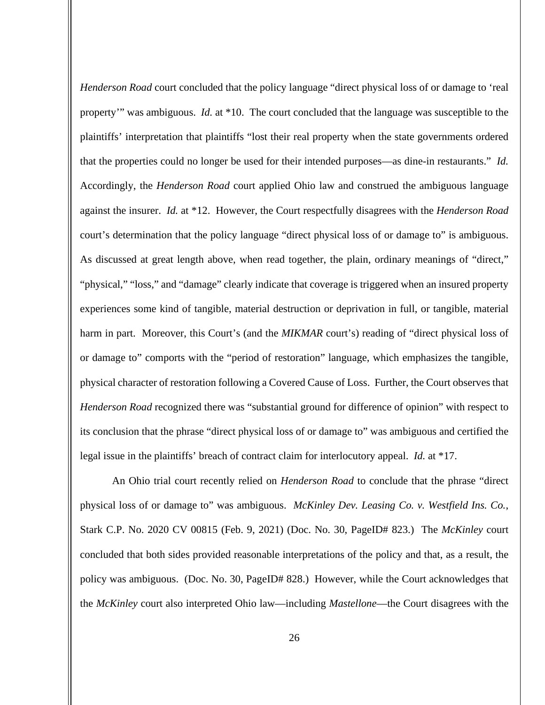*Henderson Road* court concluded that the policy language "direct physical loss of or damage to 'real property'" was ambiguous. *Id.* at \*10. The court concluded that the language was susceptible to the plaintiffs' interpretation that plaintiffs "lost their real property when the state governments ordered that the properties could no longer be used for their intended purposes—as dine-in restaurants." *Id.* Accordingly, the *Henderson Road* court applied Ohio law and construed the ambiguous language against the insurer. *Id.* at \*12. However, the Court respectfully disagrees with the *Henderson Road* court's determination that the policy language "direct physical loss of or damage to" is ambiguous. As discussed at great length above, when read together, the plain, ordinary meanings of "direct," "physical," "loss," and "damage" clearly indicate that coverage is triggered when an insured property experiences some kind of tangible, material destruction or deprivation in full, or tangible, material harm in part. Moreover, this Court's (and the *MIKMAR* court's) reading of "direct physical loss of or damage to" comports with the "period of restoration" language, which emphasizes the tangible, physical character of restoration following a Covered Cause of Loss. Further, the Court observes that *Henderson Road* recognized there was "substantial ground for difference of opinion" with respect to its conclusion that the phrase "direct physical loss of or damage to" was ambiguous and certified the legal issue in the plaintiffs' breach of contract claim for interlocutory appeal. *Id.* at \*17.

An Ohio trial court recently relied on *Henderson Road* to conclude that the phrase "direct physical loss of or damage to" was ambiguous. *McKinley Dev. Leasing Co. v. Westfield Ins. Co.*, Stark C.P. No. 2020 CV 00815 (Feb. 9, 2021) (Doc. No. 30, PageID# 823.) The *McKinley* court concluded that both sides provided reasonable interpretations of the policy and that, as a result, the policy was ambiguous. (Doc. No. 30, PageID# 828.) However, while the Court acknowledges that the *McKinley* court also interpreted Ohio law—including *Mastellone*—the Court disagrees with the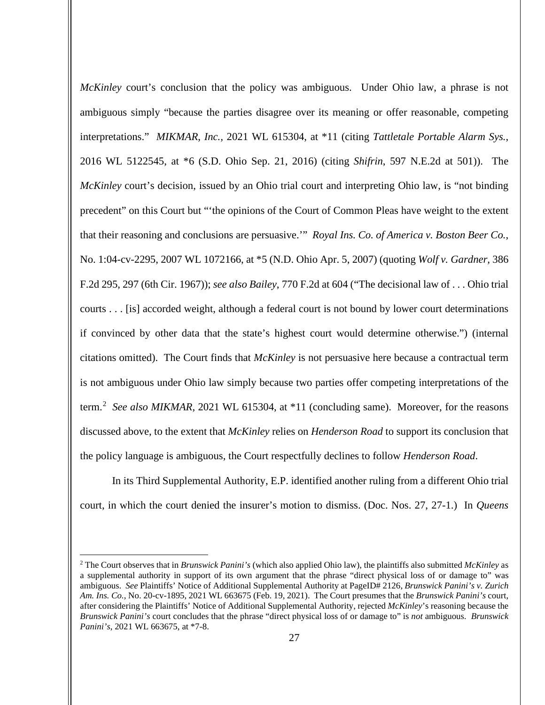*McKinley* court's conclusion that the policy was ambiguous. Under Ohio law, a phrase is not ambiguous simply "because the parties disagree over its meaning or offer reasonable, competing interpretations." *MIKMAR*, *Inc.,* 2021 WL 615304, at \*11 (citing *Tattletale Portable Alarm Sys.*, 2016 WL 5122545, at \*6 (S.D. Ohio Sep. 21, 2016) (citing *Shifrin*, 597 N.E.2d at 501)). The *McKinley* court's decision, issued by an Ohio trial court and interpreting Ohio law, is "not binding precedent" on this Court but "'the opinions of the Court of Common Pleas have weight to the extent that their reasoning and conclusions are persuasive.'" *Royal Ins. Co. of America v. Boston Beer Co.*, No. 1:04-cv-2295, 2007 WL 1072166, at \*5 (N.D. Ohio Apr. 5, 2007) (quoting *Wolf v. Gardner*, 386 F.2d 295, 297 (6th Cir. 1967)); *see also Bailey*, 770 F.2d at 604 ("The decisional law of . . . Ohio trial courts . . . [is] accorded weight, although a federal court is not bound by lower court determinations if convinced by other data that the state's highest court would determine otherwise.") (internal citations omitted). The Court finds that *McKinley* is not persuasive here because a contractual term is not ambiguous under Ohio law simply because two parties offer competing interpretations of the term.<sup>[2](#page-26-0)</sup> See also MIKMAR, 2021 WL 615304, at \*11 (concluding same). Moreover, for the reasons discussed above, to the extent that *McKinley* relies on *Henderson Road* to support its conclusion that the policy language is ambiguous, the Court respectfully declines to follow *Henderson Road*.

In its Third Supplemental Authority, E.P. identified another ruling from a different Ohio trial court, in which the court denied the insurer's motion to dismiss. (Doc. Nos. 27, 27-1.) In *Queens* 

<span id="page-26-0"></span><sup>2</sup> The Court observes that in *Brunswick Panini's* (which also applied Ohio law), the plaintiffs also submitted *McKinley* as a supplemental authority in support of its own argument that the phrase "direct physical loss of or damage to" was ambiguous. *See* Plaintiffs' Notice of Additional Supplemental Authority at PageID# 2126, *Brunswick Panini's v. Zurich Am. Ins. Co.*, No. 20-cv-1895, 2021 WL 663675 (Feb. 19, 2021). The Court presumes that the *Brunswick Panini's* court, after considering the Plaintiffs' Notice of Additional Supplemental Authority, rejected *McKinley*'s reasoning because the *Brunswick Panini's* court concludes that the phrase "direct physical loss of or damage to" is *not* ambiguous. *Brunswick Panini's*, 2021 WL 663675, at \*7-8.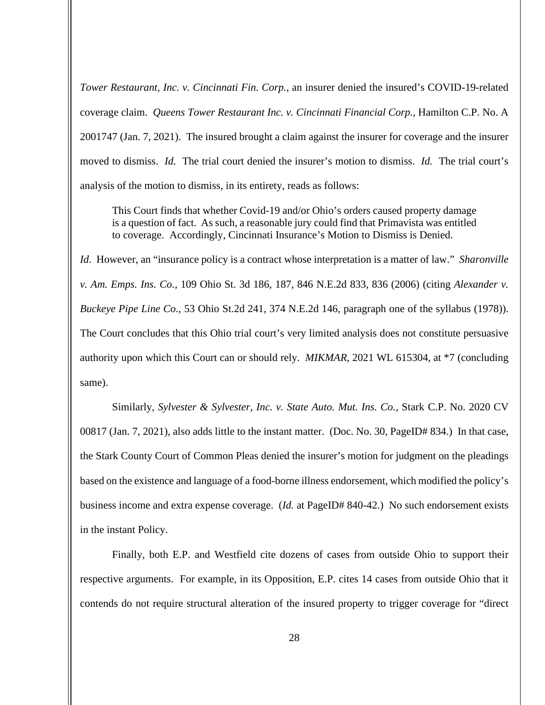*Tower Restaurant, Inc. v. Cincinnati Fin. Corp.*, an insurer denied the insured's COVID-19-related coverage claim. *Queens Tower Restaurant Inc. v. Cincinnati Financial Corp.*, Hamilton C.P. No. A 2001747 (Jan. 7, 2021). The insured brought a claim against the insurer for coverage and the insurer moved to dismiss. *Id.* The trial court denied the insurer's motion to dismiss. *Id.* The trial court's analysis of the motion to dismiss, in its entirety, reads as follows:

This Court finds that whether Covid-19 and/or Ohio's orders caused property damage is a question of fact. As such, a reasonable jury could find that Primavista was entitled to coverage. Accordingly, Cincinnati Insurance's Motion to Dismiss is Denied.

*Id.* However, an "insurance policy is a contract whose interpretation is a matter of law." *Sharonville v. Am. Emps. Ins. Co.*, 109 Ohio St. 3d 186, 187, 846 N.E.2d 833, 836 (2006) (citing *Alexander v. Buckeye Pipe Line Co.*, 53 Ohio St.2d 241, 374 N.E.2d 146, paragraph one of the syllabus (1978)). The Court concludes that this Ohio trial court's very limited analysis does not constitute persuasive authority upon which this Court can or should rely. *MIKMAR*, 2021 WL 615304, at \*7 (concluding same).

Similarly, *Sylvester & Sylvester, Inc. v. State Auto. Mut. Ins. Co.*, Stark C.P. No. 2020 CV 00817 (Jan. 7, 2021), also adds little to the instant matter. (Doc. No. 30, PageID# 834.) In that case, the Stark County Court of Common Pleas denied the insurer's motion for judgment on the pleadings based on the existence and language of a food-borne illness endorsement, which modified the policy's business income and extra expense coverage. (*Id.* at PageID# 840-42.) No such endorsement exists in the instant Policy.

Finally, both E.P. and Westfield cite dozens of cases from outside Ohio to support their respective arguments. For example, in its Opposition, E.P. cites 14 cases from outside Ohio that it contends do not require structural alteration of the insured property to trigger coverage for "direct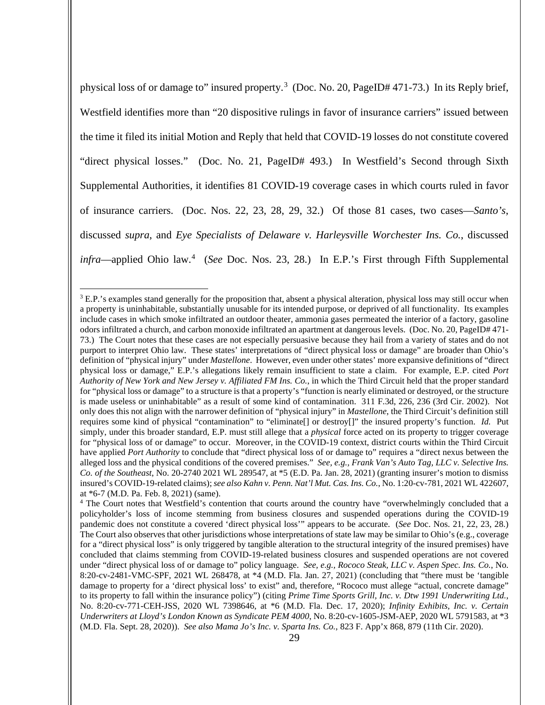physical loss of or damage to" insured property.<sup>[3](#page-28-0)</sup> (Doc. No. 20, PageID# 471-73.) In its Reply brief, Westfield identifies more than "20 dispositive rulings in favor of insurance carriers" issued between the time it filed its initial Motion and Reply that held that COVID-19 losses do not constitute covered "direct physical losses." (Doc. No. 21, PageID# 493.) In Westfield's Second through Sixth Supplemental Authorities, it identifies 81 COVID-19 coverage cases in which courts ruled in favor of insurance carriers. (Doc. Nos. 22, 23, 28, 29, 32.) Of those 81 cases, two cases—*Santo's*, discussed *supra*, and *Eye Specialists of Delaware v. Harleysville Worchester Ins. Co.*, discussed *infra*—applied Ohio law.[4](#page-28-1) (*See* Doc. Nos. 23, 28.) In E.P.'s First through Fifth Supplemental

<span id="page-28-0"></span> $3$  E.P.'s examples stand generally for the proposition that, absent a physical alteration, physical loss may still occur when a property is uninhabitable, substantially unusable for its intended purpose, or deprived of all functionality. Its examples include cases in which smoke infiltrated an outdoor theater, ammonia gases permeated the interior of a factory, gasoline odors infiltrated a church, and carbon monoxide infiltrated an apartment at dangerous levels. (Doc. No. 20, PageID# 471- 73.) The Court notes that these cases are not especially persuasive because they hail from a variety of states and do not purport to interpret Ohio law. These states' interpretations of "direct physical loss or damage" are broader than Ohio's definition of "physical injury" under *Mastellone*. However, even under other states' more expansive definitions of "direct physical loss or damage," E.P.'s allegations likely remain insufficient to state a claim. For example, E.P. cited *Port Authority of New York and New Jersey v. Affiliated FM Ins. Co.*, in which the Third Circuit held that the proper standard for "physical loss or damage" to a structure is that a property's "function is nearly eliminated or destroyed, or the structure is made useless or uninhabitable" as a result of some kind of contamination. 311 F.3d, 226, 236 (3rd Cir. 2002). Not only does this not align with the narrower definition of "physical injury" in *Mastellone*, the Third Circuit's definition still requires some kind of physical "contamination" to "eliminate[] or destroy[]" the insured property's function. *Id.* Put simply, under this broader standard, E.P. must still allege that a *physical* force acted on its property to trigger coverage for "physical loss of or damage" to occur. Moreover, in the COVID-19 context, district courts within the Third Circuit have applied *Port Authority* to conclude that "direct physical loss of or damage to" requires a "direct nexus between the alleged loss and the physical conditions of the covered premises." *See, e.g., Frank Van's Auto Tag, LLC v. Selective Ins. Co. of the Southeast*, No. 20-2740 2021 WL 289547, at \*5 (E.D. Pa. Jan. 28, 2021) (granting insurer's motion to dismiss insured's COVID-19-related claims); *see also Kahn v. Penn. Nat'l Mut. Cas. Ins. Co.*, No. 1:20-cv-781, 2021 WL 422607, at \*6-7 (M.D. Pa. Feb. 8, 2021) (same).

<span id="page-28-1"></span><sup>&</sup>lt;sup>4</sup> The Court notes that Westfield's contention that courts around the country have "overwhelmingly concluded that a policyholder's loss of income stemming from business closures and suspended operations during the COVID-19 pandemic does not constitute a covered 'direct physical loss'" appears to be accurate. (*See* Doc. Nos. 21, 22, 23, 28.) The Court also observes that other jurisdictions whose interpretations of state law may be similar to Ohio's (e.g., coverage for a "direct physical loss" is only triggered by tangible alteration to the structural integrity of the insured premises) have concluded that claims stemming from COVID-19-related business closures and suspended operations are not covered under "direct physical loss of or damage to" policy language. *See, e.g., Rococo Steak, LLC v. Aspen Spec. Ins. Co.*, No. 8:20-cv-2481-VMC-SPF, 2021 WL 268478, at \*4 (M.D. Fla. Jan. 27, 2021) (concluding that "there must be 'tangible damage to property for a 'direct physical loss' to exist" and, therefore, "Rococo must allege "actual, concrete damage" to its property to fall within the insurance policy") (citing *Prime Time Sports Grill, Inc. v. Dtw 1991 Underwriting Ltd.*, No. 8:20-cv-771-CEH-JSS, 2020 WL 7398646, at \*6 (M.D. Fla. Dec. 17, 2020); *Infinity Exhibits, Inc. v. Certain Underwriters at Lloyd's London Known as Syndicate PEM 4000*, No. 8:20-cv-1605-JSM-AEP, 2020 WL 5791583, at \*3 (M.D. Fla. Sept. 28, 2020)). *See also Mama Jo's Inc. v. Sparta Ins. Co.*, 823 F. App'x 868, 879 (11th Cir. 2020).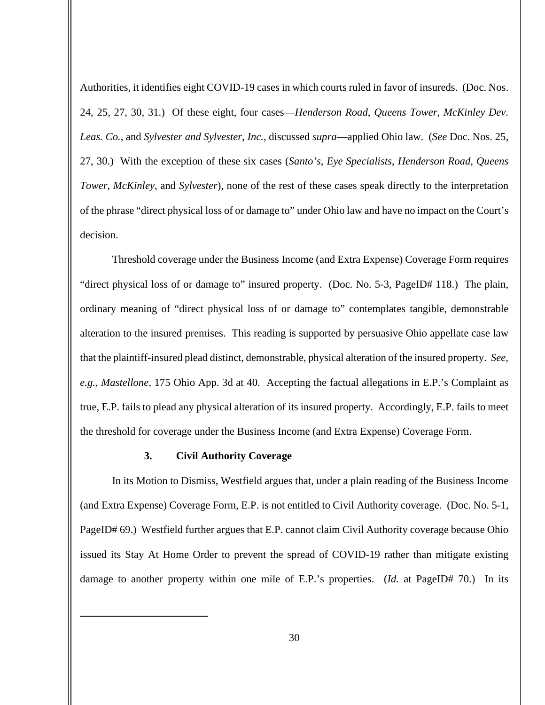Authorities, it identifies eight COVID-19 cases in which courts ruled in favor of insureds. (Doc. Nos. 24, 25, 27, 30, 31.) Of these eight, four cases—*Henderson Road*, *Queens Tower*, *McKinley Dev. Leas. Co.*, and *Sylvester and Sylvester, Inc.*, discussed *supra*—applied Ohio law. (*See* Doc. Nos. 25, 27, 30.) With the exception of these six cases (*Santo's*, *Eye Specialists*, *Henderson Road*, *Queens Tower*, *McKinley*, and *Sylvester*), none of the rest of these cases speak directly to the interpretation of the phrase "direct physical loss of or damage to" under Ohio law and have no impact on the Court's decision.

Threshold coverage under the Business Income (and Extra Expense) Coverage Form requires "direct physical loss of or damage to" insured property. (Doc. No. 5-3, PageID# 118.) The plain, ordinary meaning of "direct physical loss of or damage to" contemplates tangible, demonstrable alteration to the insured premises. This reading is supported by persuasive Ohio appellate case law that the plaintiff-insured plead distinct, demonstrable, physical alteration of the insured property. *See, e.g., Mastellone*, 175 Ohio App. 3d at 40. Accepting the factual allegations in E.P.'s Complaint as true, E.P. fails to plead any physical alteration of its insured property. Accordingly, E.P. fails to meet the threshold for coverage under the Business Income (and Extra Expense) Coverage Form.

### **3. Civil Authority Coverage**

In its Motion to Dismiss, Westfield argues that, under a plain reading of the Business Income (and Extra Expense) Coverage Form, E.P. is not entitled to Civil Authority coverage. (Doc. No. 5-1, PageID# 69.) Westfield further argues that E.P. cannot claim Civil Authority coverage because Ohio issued its Stay At Home Order to prevent the spread of COVID-19 rather than mitigate existing damage to another property within one mile of E.P.'s properties. (*Id.* at PageID# 70.) In its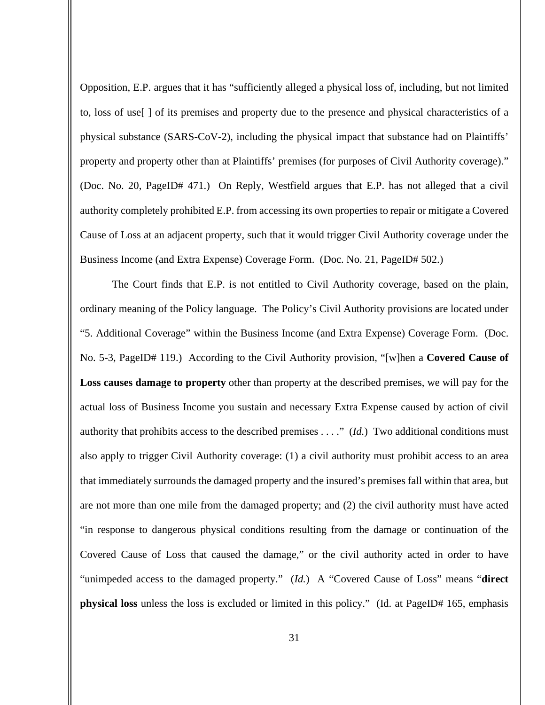Opposition, E.P. argues that it has "sufficiently alleged a physical loss of, including, but not limited to, loss of use[ ] of its premises and property due to the presence and physical characteristics of a physical substance (SARS-CoV-2), including the physical impact that substance had on Plaintiffs' property and property other than at Plaintiffs' premises (for purposes of Civil Authority coverage)." (Doc. No. 20, PageID# 471.) On Reply, Westfield argues that E.P. has not alleged that a civil authority completely prohibited E.P. from accessing its own properties to repair or mitigate a Covered Cause of Loss at an adjacent property, such that it would trigger Civil Authority coverage under the Business Income (and Extra Expense) Coverage Form. (Doc. No. 21, PageID# 502.)

The Court finds that E.P. is not entitled to Civil Authority coverage, based on the plain, ordinary meaning of the Policy language. The Policy's Civil Authority provisions are located under "5. Additional Coverage" within the Business Income (and Extra Expense) Coverage Form. (Doc. No. 5-3, PageID# 119.) According to the Civil Authority provision, "[w]hen a **Covered Cause of Loss causes damage to property** other than property at the described premises, we will pay for the actual loss of Business Income you sustain and necessary Extra Expense caused by action of civil authority that prohibits access to the described premises . . . ." (*Id.*) Two additional conditions must also apply to trigger Civil Authority coverage: (1) a civil authority must prohibit access to an area that immediately surrounds the damaged property and the insured's premises fall within that area, but are not more than one mile from the damaged property; and (2) the civil authority must have acted "in response to dangerous physical conditions resulting from the damage or continuation of the Covered Cause of Loss that caused the damage," or the civil authority acted in order to have "unimpeded access to the damaged property." (*Id.*) A "Covered Cause of Loss" means "**direct physical loss** unless the loss is excluded or limited in this policy." (Id. at PageID# 165, emphasis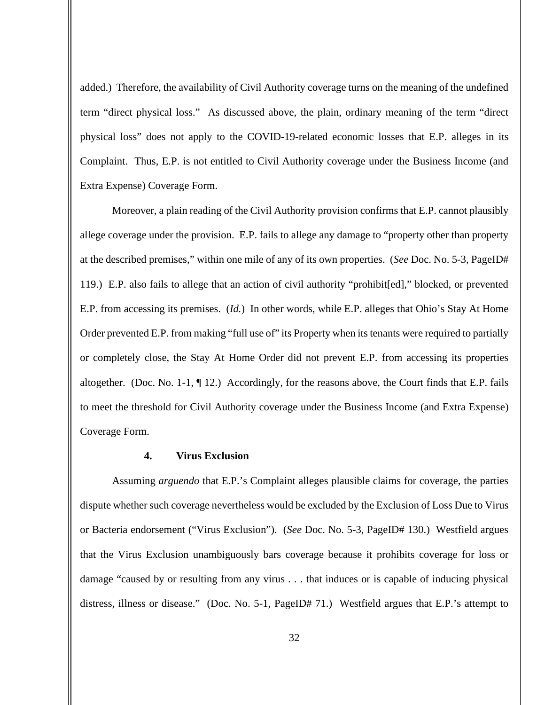added.) Therefore, the availability of Civil Authority coverage turns on the meaning of the undefined term "direct physical loss." As discussed above, the plain, ordinary meaning of the term "direct physical loss" does not apply to the COVID-19-related economic losses that E.P. alleges in its Complaint. Thus, E.P. is not entitled to Civil Authority coverage under the Business Income (and Extra Expense) Coverage Form.

Moreover, a plain reading of the Civil Authority provision confirms that E.P. cannot plausibly allege coverage under the provision. E.P. fails to allege any damage to "property other than property at the described premises," within one mile of any of its own properties. (*See* Doc. No. 5-3, PageID# 119.) E.P. also fails to allege that an action of civil authority "prohibit[ed]," blocked, or prevented E.P. from accessing its premises. (*Id.*) In other words, while E.P. alleges that Ohio's Stay At Home Order prevented E.P. from making "full use of" its Property when its tenants were required to partially or completely close, the Stay At Home Order did not prevent E.P. from accessing its properties altogether. (Doc. No. 1-1,  $\P$  12.) Accordingly, for the reasons above, the Court finds that E.P. fails to meet the threshold for Civil Authority coverage under the Business Income (and Extra Expense) Coverage Form.

# **4. Virus Exclusion**

Assuming *arguendo* that E.P.'s Complaint alleges plausible claims for coverage, the parties dispute whether such coverage nevertheless would be excluded by the Exclusion of Loss Due to Virus or Bacteria endorsement ("Virus Exclusion"). (*See* Doc. No. 5-3, PageID# 130.) Westfield argues that the Virus Exclusion unambiguously bars coverage because it prohibits coverage for loss or damage "caused by or resulting from any virus . . . that induces or is capable of inducing physical distress, illness or disease." (Doc. No. 5-1, PageID# 71.) Westfield argues that E.P.'s attempt to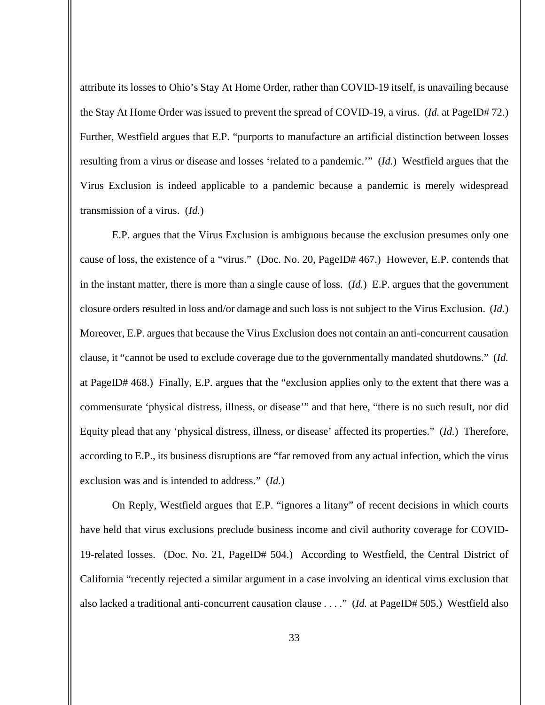attribute its losses to Ohio's Stay At Home Order, rather than COVID-19 itself, is unavailing because the Stay At Home Order was issued to prevent the spread of COVID-19, a virus. (*Id.* at PageID# 72.) Further, Westfield argues that E.P. "purports to manufacture an artificial distinction between losses resulting from a virus or disease and losses 'related to a pandemic.'" (*Id.*) Westfield argues that the Virus Exclusion is indeed applicable to a pandemic because a pandemic is merely widespread transmission of a virus. (*Id.*)

E.P. argues that the Virus Exclusion is ambiguous because the exclusion presumes only one cause of loss, the existence of a "virus." (Doc. No. 20, PageID# 467.) However, E.P. contends that in the instant matter, there is more than a single cause of loss. (*Id.*) E.P. argues that the government closure orders resulted in loss and/or damage and such loss is not subject to the Virus Exclusion. (*Id.*) Moreover, E.P. argues that because the Virus Exclusion does not contain an anti-concurrent causation clause, it "cannot be used to exclude coverage due to the governmentally mandated shutdowns." (*Id.* at PageID# 468.) Finally, E.P. argues that the "exclusion applies only to the extent that there was a commensurate 'physical distress, illness, or disease'" and that here, "there is no such result, nor did Equity plead that any 'physical distress, illness, or disease' affected its properties." (*Id.*) Therefore, according to E.P., its business disruptions are "far removed from any actual infection, which the virus exclusion was and is intended to address." (*Id.*)

On Reply, Westfield argues that E.P. "ignores a litany" of recent decisions in which courts have held that virus exclusions preclude business income and civil authority coverage for COVID-19-related losses. (Doc. No. 21, PageID# 504.) According to Westfield, the Central District of California "recently rejected a similar argument in a case involving an identical virus exclusion that also lacked a traditional anti-concurrent causation clause . . . ." (*Id.* at PageID# 505.) Westfield also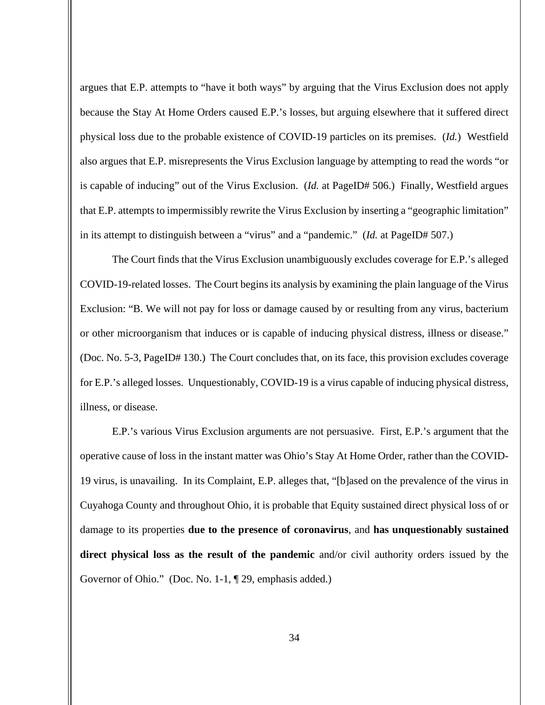argues that E.P. attempts to "have it both ways" by arguing that the Virus Exclusion does not apply because the Stay At Home Orders caused E.P.'s losses, but arguing elsewhere that it suffered direct physical loss due to the probable existence of COVID-19 particles on its premises. (*Id.*) Westfield also argues that E.P. misrepresents the Virus Exclusion language by attempting to read the words "or is capable of inducing" out of the Virus Exclusion. (*Id.* at PageID# 506.) Finally, Westfield argues that E.P. attempts to impermissibly rewrite the Virus Exclusion by inserting a "geographic limitation" in its attempt to distinguish between a "virus" and a "pandemic." (*Id.* at PageID# 507.)

The Court finds that the Virus Exclusion unambiguously excludes coverage for E.P.'s alleged COVID-19-related losses. The Court begins its analysis by examining the plain language of the Virus Exclusion: "B. We will not pay for loss or damage caused by or resulting from any virus, bacterium or other microorganism that induces or is capable of inducing physical distress, illness or disease." (Doc. No. 5-3, PageID# 130.) The Court concludes that, on its face, this provision excludes coverage for E.P.'s alleged losses. Unquestionably, COVID-19 is a virus capable of inducing physical distress, illness, or disease.

E.P.'s various Virus Exclusion arguments are not persuasive. First, E.P.'s argument that the operative cause of loss in the instant matter was Ohio's Stay At Home Order, rather than the COVID-19 virus, is unavailing. In its Complaint, E.P. alleges that, "[b]ased on the prevalence of the virus in Cuyahoga County and throughout Ohio, it is probable that Equity sustained direct physical loss of or damage to its properties **due to the presence of coronavirus**, and **has unquestionably sustained direct physical loss as the result of the pandemic** and/or civil authority orders issued by the Governor of Ohio." (Doc. No. 1-1, ¶ 29, emphasis added.)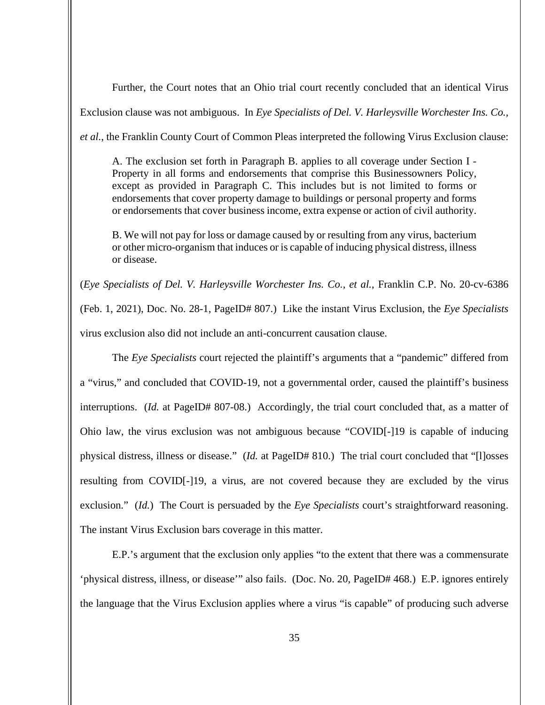Further, the Court notes that an Ohio trial court recently concluded that an identical Virus

Exclusion clause was not ambiguous. In *Eye Specialists of Del. V. Harleysville Worchester Ins. Co.,* 

*et al.*, the Franklin County Court of Common Pleas interpreted the following Virus Exclusion clause:

A. The exclusion set forth in Paragraph B. applies to all coverage under Section I - Property in all forms and endorsements that comprise this Businessowners Policy, except as provided in Paragraph C. This includes but is not limited to forms or endorsements that cover property damage to buildings or personal property and forms or endorsements that cover business income, extra expense or action of civil authority.

B. We will not pay for loss or damage caused by or resulting from any virus, bacterium or other micro-organism that induces or is capable of inducing physical distress, illness or disease.

(*Eye Specialists of Del. V. Harleysville Worchester Ins. Co., et al.*, Franklin C.P. No. 20-cv-6386 (Feb. 1, 2021), Doc. No. 28-1, PageID# 807.) Like the instant Virus Exclusion, the *Eye Specialists* virus exclusion also did not include an anti-concurrent causation clause.

The *Eye Specialists* court rejected the plaintiff's arguments that a "pandemic" differed from a "virus," and concluded that COVID-19, not a governmental order, caused the plaintiff's business interruptions. (*Id.* at PageID# 807-08.) Accordingly, the trial court concluded that, as a matter of Ohio law, the virus exclusion was not ambiguous because "COVID[-]19 is capable of inducing physical distress, illness or disease." (*Id.* at PageID# 810.) The trial court concluded that "[l]osses resulting from COVID[-]19, a virus, are not covered because they are excluded by the virus exclusion." (*Id.*) The Court is persuaded by the *Eye Specialists* court's straightforward reasoning. The instant Virus Exclusion bars coverage in this matter.

E.P.'s argument that the exclusion only applies "to the extent that there was a commensurate 'physical distress, illness, or disease'" also fails. (Doc. No. 20, PageID# 468.) E.P. ignores entirely the language that the Virus Exclusion applies where a virus "is capable" of producing such adverse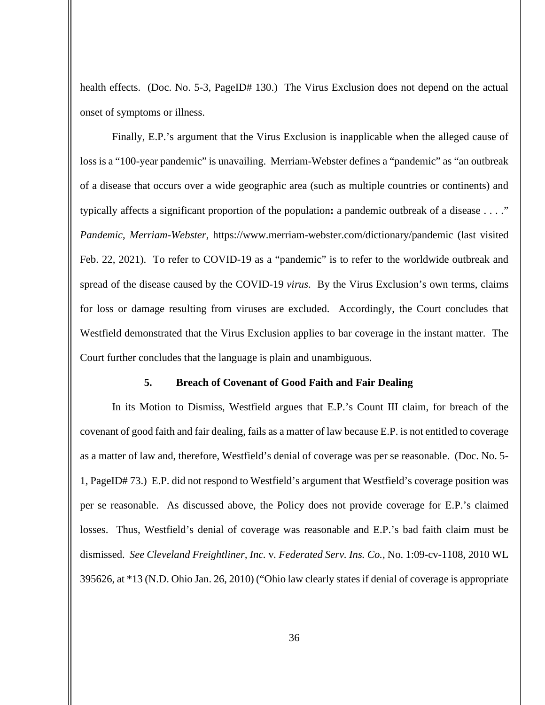health effects. (Doc. No. 5-3, PageID# 130.) The Virus Exclusion does not depend on the actual onset of symptoms or illness.

Finally, E.P.'s argument that the Virus Exclusion is inapplicable when the alleged cause of loss is a "100-year pandemic" is unavailing. Merriam-Webster defines a "pandemic" as "an outbreak of a disease that occurs over a wide geographic area (such as multiple countries or continents) and typically affects a significant proportion of the population**:** a pandemic outbreak of a disease . . . ." *Pandemic*, *Merriam-Webster*, https://www.merriam-webster.com/dictionary/pandemic (last visited Feb. 22, 2021). To refer to COVID-19 as a "pandemic" is to refer to the worldwide outbreak and spread of the disease caused by the COVID-19 *virus*. By the Virus Exclusion's own terms, claims for loss or damage resulting from viruses are excluded. Accordingly, the Court concludes that Westfield demonstrated that the Virus Exclusion applies to bar coverage in the instant matter. The Court further concludes that the language is plain and unambiguous.

#### **5. Breach of Covenant of Good Faith and Fair Dealing**

In its Motion to Dismiss, Westfield argues that E.P.'s Count III claim, for breach of the covenant of good faith and fair dealing, fails as a matter of law because E.P. is not entitled to coverage as a matter of law and, therefore, Westfield's denial of coverage was per se reasonable. (Doc. No. 5- 1, PageID# 73.) E.P. did not respond to Westfield's argument that Westfield's coverage position was per se reasonable. As discussed above, the Policy does not provide coverage for E.P.'s claimed losses. Thus, Westfield's denial of coverage was reasonable and E.P.'s bad faith claim must be dismissed. *See Cleveland Freightliner, Inc.* v*. Federated Serv. Ins. Co.,* No. 1:09-cv-1108, 2010 WL 395626, at \*13 (N.D. Ohio Jan. 26, 2010) ("Ohio law clearly states if denial of coverage is appropriate